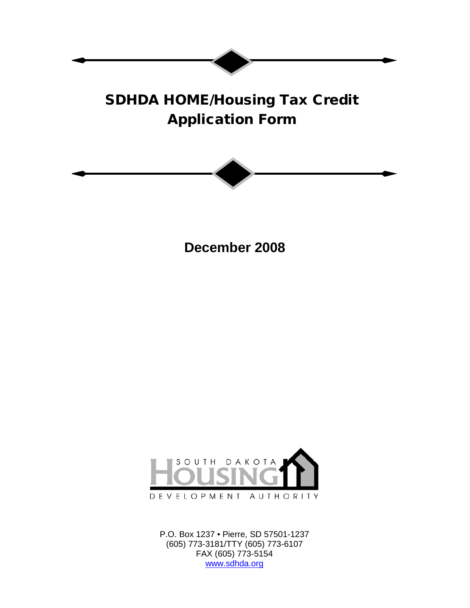# SDHDA HOME/Housing Tax Credit Application Form



**December 2008**



P.O. Box 1237 • Pierre, SD 57501-1237 (605) 773-3181/TTY (605) 773-6107 FAX (605) 773-5154 [www.sdhda.org](http://www.sdhda.org/)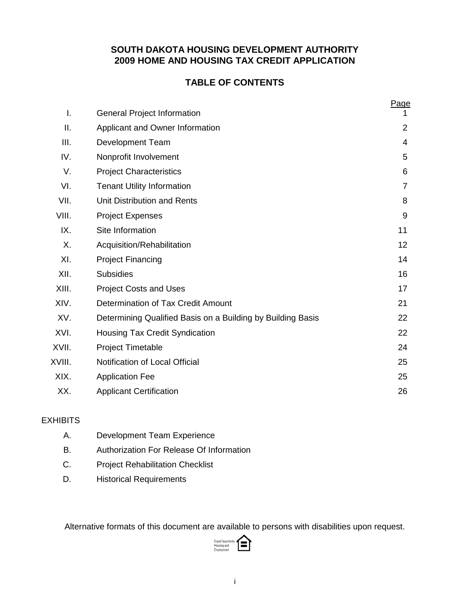# **SOUTH DAKOTA HOUSING DEVELOPMENT AUTHORITY 2009 HOME AND HOUSING TAX CREDIT APPLICATION**

# **TABLE OF CONTENTS**

|        |                                                             | <u>Page</u>    |
|--------|-------------------------------------------------------------|----------------|
| I.     | <b>General Project Information</b>                          | 1              |
| ΙΙ.    | Applicant and Owner Information                             | $\overline{2}$ |
| III.   | <b>Development Team</b>                                     | 4              |
| IV.    | Nonprofit Involvement                                       | 5              |
| V.     | <b>Project Characteristics</b>                              | 6              |
| VI.    | <b>Tenant Utility Information</b>                           | $\overline{7}$ |
| VII.   | Unit Distribution and Rents                                 | 8              |
| VIII.  | <b>Project Expenses</b>                                     | 9              |
| IX.    | Site Information                                            | 11             |
| Χ.     | Acquisition/Rehabilitation                                  | 12             |
| XI.    | <b>Project Financing</b>                                    | 14             |
| XII.   | <b>Subsidies</b>                                            | 16             |
| XIII.  | <b>Project Costs and Uses</b>                               | 17             |
| XIV.   | Determination of Tax Credit Amount                          | 21             |
| XV.    | Determining Qualified Basis on a Building by Building Basis | 22             |
| XVI.   | Housing Tax Credit Syndication                              | 22             |
| XVII.  | <b>Project Timetable</b>                                    | 24             |
| XVIII. | Notification of Local Official                              | 25             |
| XIX.   | <b>Application Fee</b>                                      | 25             |
| XX.    | <b>Applicant Certification</b>                              | 26             |

# EXHIBITS

- A. Development Team Experience
- B. Authorization For Release Of Information
- C. Project Rehabilitation Checklist
- D. Historical Requirements

Alternative formats of this document are available to persons with disabilities upon request.

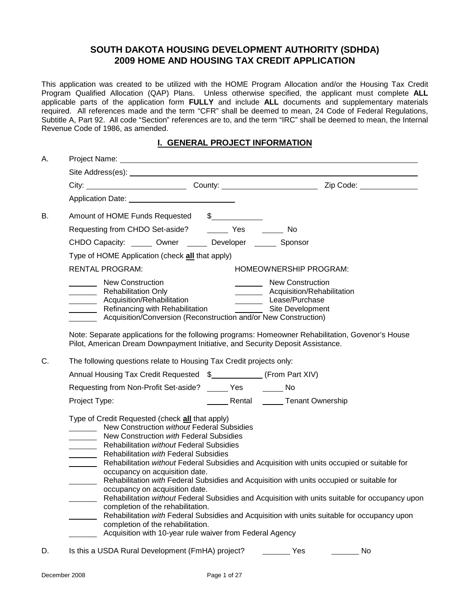# **SOUTH DAKOTA HOUSING DEVELOPMENT AUTHORITY (SDHDA) 2009 HOME AND HOUSING TAX CREDIT APPLICATION**

This application was created to be utilized with the HOME Program Allocation and/or the Housing Tax Credit Program Qualified Allocation (QAP) Plans. Unless otherwise specified, the applicant must complete **ALL** applicable parts of the application form **FULLY** and include **ALL** documents and supplementary materials required. All references made and the term "CFR" shall be deemed to mean, 24 Code of Federal Regulations, Subtitle A, Part 92. All code "Section" references are to, and the term "IRC" shall be deemed to mean, the Internal Revenue Code of 1986, as amended.

## **I. GENERAL PROJECT INFORMATION**

| А. |                                                                                                                                                                                                                                                                                                                               |                                                                                                                                           |                                                                                                                                                                                                                                                                                                                                                                                              |  |  |  |  |  |
|----|-------------------------------------------------------------------------------------------------------------------------------------------------------------------------------------------------------------------------------------------------------------------------------------------------------------------------------|-------------------------------------------------------------------------------------------------------------------------------------------|----------------------------------------------------------------------------------------------------------------------------------------------------------------------------------------------------------------------------------------------------------------------------------------------------------------------------------------------------------------------------------------------|--|--|--|--|--|
|    | Site Address(es): Note and the set of the set of the set of the set of the set of the set of the set of the set of the set of the set of the set of the set of the set of the set of the set of the set of the set of the set                                                                                                 |                                                                                                                                           |                                                                                                                                                                                                                                                                                                                                                                                              |  |  |  |  |  |
|    |                                                                                                                                                                                                                                                                                                                               |                                                                                                                                           |                                                                                                                                                                                                                                                                                                                                                                                              |  |  |  |  |  |
|    | Application Date: 1999                                                                                                                                                                                                                                                                                                        |                                                                                                                                           |                                                                                                                                                                                                                                                                                                                                                                                              |  |  |  |  |  |
| В. | Amount of HOME Funds Requested \$                                                                                                                                                                                                                                                                                             |                                                                                                                                           |                                                                                                                                                                                                                                                                                                                                                                                              |  |  |  |  |  |
|    | Requesting from CHDO Set-aside? _________ Yes ________ No                                                                                                                                                                                                                                                                     |                                                                                                                                           |                                                                                                                                                                                                                                                                                                                                                                                              |  |  |  |  |  |
|    | CHDO Capacity: ______ Owner ______ Developer ______ Sponsor                                                                                                                                                                                                                                                                   |                                                                                                                                           |                                                                                                                                                                                                                                                                                                                                                                                              |  |  |  |  |  |
|    | Type of HOME Application (check all that apply)                                                                                                                                                                                                                                                                               |                                                                                                                                           |                                                                                                                                                                                                                                                                                                                                                                                              |  |  |  |  |  |
|    | <b>RENTAL PROGRAM:</b>                                                                                                                                                                                                                                                                                                        |                                                                                                                                           | HOMEOWNERSHIP PROGRAM:                                                                                                                                                                                                                                                                                                                                                                       |  |  |  |  |  |
|    | New Construction<br>Rehabilitation Only<br>Rehabilitation Only<br>Acquisition/Rehabilitation<br>Refinancing with Rehabilitation<br>Acquisition/Conversion (Reconstruction and/or New Construction)<br>Pilot, American Dream Downpayment Initiative, and Security Deposit Assistance.                                          |                                                                                                                                           | <b>New Construction</b><br>__________ Acquisition/Rehabilitation<br>Lease/Purchase<br>__________ Site Development<br>Note: Separate applications for the following programs: Homeowner Rehabilitation, Govenor's House                                                                                                                                                                       |  |  |  |  |  |
| C. |                                                                                                                                                                                                                                                                                                                               | The following questions relate to Housing Tax Credit projects only:<br>Annual Housing Tax Credit Requested \$____________ (From Part XIV) |                                                                                                                                                                                                                                                                                                                                                                                              |  |  |  |  |  |
|    | Requesting from Non-Profit Set-aside? ______ Yes _______ No                                                                                                                                                                                                                                                                   |                                                                                                                                           |                                                                                                                                                                                                                                                                                                                                                                                              |  |  |  |  |  |
|    | Project Type:                                                                                                                                                                                                                                                                                                                 |                                                                                                                                           | Rental <u>Come</u> Tenant Ownership                                                                                                                                                                                                                                                                                                                                                          |  |  |  |  |  |
|    | Type of Credit Requested (check all that apply)<br>New Construction with Federal Subsidies<br>Rehabilitation without Federal Subsidies<br>Rehabilitation with Federal Subsidies<br>occupancy on acquisition date.<br>occupancy on acquisition date.<br>completion of the rehabilitation.<br>completion of the rehabilitation. | New Construction without Federal Subsidies<br>Acquisition with 10-year rule waiver from Federal Agency                                    | Rehabilitation without Federal Subsidies and Acquisition with units occupied or suitable for<br>Rehabilitation with Federal Subsidies and Acquisition with units occupied or suitable for<br>Rehabilitation without Federal Subsidies and Acquisition with units suitable for occupancy upon<br>Rehabilitation with Federal Subsidies and Acquisition with units suitable for occupancy upon |  |  |  |  |  |
| D. | Is this a USDA Rural Development (FmHA) project?                                                                                                                                                                                                                                                                              |                                                                                                                                           | Yes<br>No                                                                                                                                                                                                                                                                                                                                                                                    |  |  |  |  |  |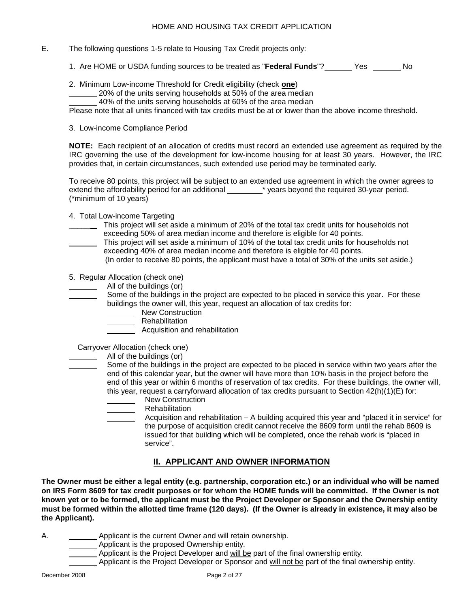- E. The following questions 1-5 relate to Housing Tax Credit projects only:
	- 1. Are HOME or USDA funding sources to be treated as "**Federal Funds**"? Yes No
	- 2. Minimum Low-income Threshold for Credit eligibility (check **one** )
		- 20% of the units serving households at 50% of the area median
		- 40% of the units serving households at 60% of the area median

Please note that all units financed with tax credits must be at or lower than the above income threshold.

3. Low-income Compliance Period

**NOTE:** Each recipient of an allocation of credits must record an extended use agreement as required by the IRC governing the use of the development for low-income housing for at least 30 years. However, the IRC provides that, in certain circumstances, such extended use period may be terminated early.

To receive 80 points, this project will be subject to an extended use agreement in which the owner agrees to extend the affordability period for an additional \* years beyond the required 30-year period. (\*minimum of 10 years)

- 4. Total Low-income Targeting
- This project will set aside a minimum of 20% of the total tax credit units for households not exceeding 50% of area median income and therefore is eligible for 40 points.
- This project will set aside a minimum of 10% of the total tax credit units for households not exceeding 40% of area median income and therefore is eligible for 40 points.
	- (In order to receive 80 points, the applicant must have a total of 30% of the units set aside.)
- 5. Regular Allocation (check one)
	- All of the buildings (or)
- Some of the buildings in the project are expected to be placed in service this year. For these buildings the owner will, this year, request an allocation of tax credits for:
	- New Construction
		- \_\_ Rehabilitation
			- Acquisition and rehabilitation

Carryover Allocation (check one)

- All of the buildings (or)
- Some of the buildings in the project are expected to be placed in service within two years after the end of this calendar year, but the owner will have more than 10% basis in the project before the end of this year or within 6 months of reservation of tax credits. For these buildings, the owner will, this year, request a carryforward allocation of tax credits pursuant to Section  $42(h)(1)(E)$  for:
	- New Construction
	- Rehabilitation
	- Acquisition and rehabilitation A building acquired this year and "placed it in service" for the purpose of acquisition credit cannot receive the 8609 form until the rehab 8609 is issued for that building which will be completed, once the rehab work is "placed in service".

## **II. APPLICANT AND OWNER INFORMATION**

**The Owner must be either a legal entity (e.g. partnership, corporation etc.) or an individual who will be named on IRS Form 8609 for tax credit purposes or for whom the HOME funds will be committed. If the Owner is not known yet or to be formed, the applicant must be the Project Developer or Sponsor and the Ownership entity must be formed within the allotted time frame (120 days). (If the Owner is already in existence, it may also be the Applicant).**

A. A. Applicant is the current Owner and will retain ownership.

- **Applicant is the proposed Ownership entity.** 
	- Applicant is the Project Developer and will be part of the final ownership entity.
	- Applicant is the Project Developer or Sponsor and <u>will not be</u> part of the final ownership entity.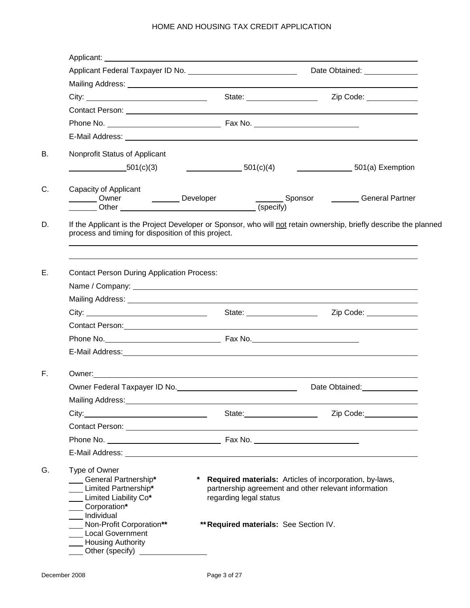|                                                                                                                                                                                                                                |                        | Date Obtained: ______________                                                                                                                                                                         |
|--------------------------------------------------------------------------------------------------------------------------------------------------------------------------------------------------------------------------------|------------------------|-------------------------------------------------------------------------------------------------------------------------------------------------------------------------------------------------------|
|                                                                                                                                                                                                                                |                        |                                                                                                                                                                                                       |
|                                                                                                                                                                                                                                |                        | Zip Code: ____________<br>State: <u>______________________</u>                                                                                                                                        |
|                                                                                                                                                                                                                                |                        |                                                                                                                                                                                                       |
|                                                                                                                                                                                                                                |                        |                                                                                                                                                                                                       |
|                                                                                                                                                                                                                                |                        |                                                                                                                                                                                                       |
| Nonprofit Status of Applicant                                                                                                                                                                                                  |                        |                                                                                                                                                                                                       |
| 501(c)(3)                                                                                                                                                                                                                      |                        | $\underline{\hspace{1cm}}$ 501(c)(4) $\underline{\hspace{1cm}}$ 501(a) Exemption                                                                                                                      |
| Capacity of Applicant<br>Owner Developer Checify)                                                                                                                                                                              |                        | Sponsor <b>Configure 1</b> General Partner                                                                                                                                                            |
| process and timing for disposition of this project.                                                                                                                                                                            |                        | If the Applicant is the Project Developer or Sponsor, who will not retain ownership, briefly describe the planned<br>,我们也不会有什么。""我们的人,我们也不会有什么?""我们的人,我们也不会有什么?""我们的人,我们也不会有什么?""我们的人,我们也不会有什么?""我们的人 |
| <b>Contact Person During Application Process:</b>                                                                                                                                                                              |                        |                                                                                                                                                                                                       |
|                                                                                                                                                                                                                                |                        |                                                                                                                                                                                                       |
| Contact Person: New York Contact Person: New York Contact Person: New York Contact Person: New York Contact Person:                                                                                                            |                        |                                                                                                                                                                                                       |
|                                                                                                                                                                                                                                |                        |                                                                                                                                                                                                       |
|                                                                                                                                                                                                                                |                        |                                                                                                                                                                                                       |
|                                                                                                                                                                                                                                |                        |                                                                                                                                                                                                       |
| Owner Federal Taxpayer ID No.                                                                                                                                                                                                  |                        | Date Obtained:<br><u>Date Obtained:</u>                                                                                                                                                               |
| Mailing Address: Mailing Address: Mailing Address: Mailing Address: Mail Address: Mail Address: Mail Address: Mail Address: Mail Address: Mail Address: Mail Address: Mail Address: Mail Address: Mail Address: Mail Address:  |                        |                                                                                                                                                                                                       |
|                                                                                                                                                                                                                                |                        | Zip Code: 2000                                                                                                                                                                                        |
|                                                                                                                                                                                                                                |                        |                                                                                                                                                                                                       |
|                                                                                                                                                                                                                                |                        |                                                                                                                                                                                                       |
| E-Mail Address: National Address: National Address: National Address: National Address: National Address: National Address: National Address: National Address: National Address: National Address: National Address: National |                        |                                                                                                                                                                                                       |
| Type of Owner<br>General Partnership*<br>Limited Partnership*<br>___ Limited Liability Co*<br>___ Corporation*<br>__ Individual<br>Non-Profit Corporation**<br><b>Local Government</b><br>__ Housing Authority                 | regarding legal status | * Required materials: Articles of incorporation, by-laws,<br>partnership agreement and other relevant information<br>** Required materials: See Section IV.                                           |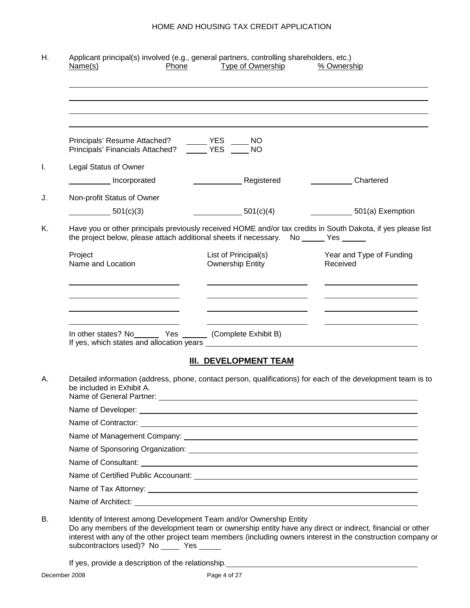| Principals' Resume Attached? ______ YES _____ NO<br>Principals' Financials Attached? _____ YES _____ NO                                                                                              |                                                                                                                      |                                                                                                                                                                                                                                      |
|------------------------------------------------------------------------------------------------------------------------------------------------------------------------------------------------------|----------------------------------------------------------------------------------------------------------------------|--------------------------------------------------------------------------------------------------------------------------------------------------------------------------------------------------------------------------------------|
| <b>Legal Status of Owner</b>                                                                                                                                                                         |                                                                                                                      |                                                                                                                                                                                                                                      |
| Incorporated                                                                                                                                                                                         | Registered                                                                                                           | <b>Chartered</b>                                                                                                                                                                                                                     |
| Non-profit Status of Owner                                                                                                                                                                           |                                                                                                                      |                                                                                                                                                                                                                                      |
| 501(c)(3)                                                                                                                                                                                            | 501(c)(4)                                                                                                            | 501(a) Exemption                                                                                                                                                                                                                     |
| Have you or other principals previously received HOME and/or tax credits in South Dakota, if yes please list<br>the project below, please attach additional sheets if necessary. No _____ Yes ______ |                                                                                                                      |                                                                                                                                                                                                                                      |
| Project<br>Name and Location                                                                                                                                                                         | List of Principal(s)<br><b>Ownership Entity</b>                                                                      | Year and Type of Funding<br>Received                                                                                                                                                                                                 |
|                                                                                                                                                                                                      |                                                                                                                      |                                                                                                                                                                                                                                      |
| <u> 1989 - Johann Stein, mars an t-Amerikaansk kommunister (</u>                                                                                                                                     | <u> Andreas Andreas Andreas Andreas Andreas Andreas Andreas Andreas Andreas Andreas Andreas Andreas Andreas Andr</u> |                                                                                                                                                                                                                                      |
| In other states? No________ Yes _______ (Complete Exhibit B)                                                                                                                                         |                                                                                                                      | <u>and the state of the state of the state of the state of the state of the state of the state of the state of the state of the state of the state of the state of the state of the state of the state of the state of the state</u> |
|                                                                                                                                                                                                      | <b>III. DEVELOPMENT TEAM</b>                                                                                         |                                                                                                                                                                                                                                      |
| Detailed information (address, phone, contact person, qualifications) for each of the development team is to<br>be included in Exhibit A.<br>Name of General Partner:                                |                                                                                                                      |                                                                                                                                                                                                                                      |
|                                                                                                                                                                                                      |                                                                                                                      |                                                                                                                                                                                                                                      |
|                                                                                                                                                                                                      |                                                                                                                      |                                                                                                                                                                                                                                      |
|                                                                                                                                                                                                      |                                                                                                                      |                                                                                                                                                                                                                                      |
|                                                                                                                                                                                                      |                                                                                                                      |                                                                                                                                                                                                                                      |
|                                                                                                                                                                                                      |                                                                                                                      |                                                                                                                                                                                                                                      |
|                                                                                                                                                                                                      |                                                                                                                      |                                                                                                                                                                                                                                      |
|                                                                                                                                                                                                      |                                                                                                                      |                                                                                                                                                                                                                                      |
|                                                                                                                                                                                                      |                                                                                                                      |                                                                                                                                                                                                                                      |

Do any members of the development team or ownership entity have any direct or indirect, financial or other interest with any of the other project team members (including owners interest in the construction company or subcontractors used)? No \_\_\_\_\_ Yes \_\_

If yes, provide a description of the relationship.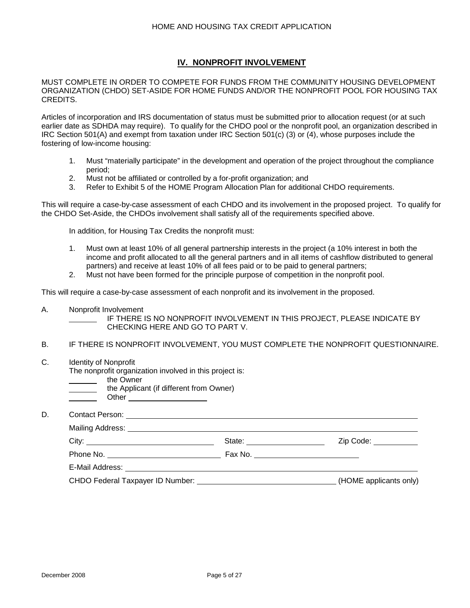# **IV. NONPROFIT INVOLVEMENT**

MUST COMPLETE IN ORDER TO COMPETE FOR FUNDS FROM THE COMMUNITY HOUSING DEVELOPMENT ORGANIZATION (CHDO) SET-ASIDE FOR HOME FUNDS AND/OR THE NONPROFIT POOL FOR HOUSING TAX CREDITS.

Articles of incorporation and IRS documentation of status must be submitted prior to allocation request (or at such earlier date as SDHDA may require). To qualify for the CHDO pool or the nonprofit pool, an organization described in IRC Section 501(A) and exempt from taxation under IRC Section 501(c) (3) or (4), whose purposes include the fostering of low-income housing:

- 1. Must "materially participate" in the development and operation of the project throughout the compliance period;
- 2. Must not be affiliated or controlled by a for-profit organization; and
- 3. Refer to Exhibit 5 of the HOME Program Allocation Plan for additional CHDO requirements.

This will require a case-by-case assessment of each CHDO and its involvement in the proposed project. To qualify for the CHDO Set-Aside, the CHDOs involvement shall satisfy all of the requirements specified above.

In addition, for Housing Tax Credits the nonprofit must:

- 1. Must own at least 10% of all general partnership interests in the project (a 10% interest in both the income and profit allocated to all the general partners and in all items of cashflow distributed to general partners) and receive at least 10% of all fees paid or to be paid to general partners;
- 2. Must not have been formed for the principle purpose of competition in the nonprofit pool.

This will require a case-by-case assessment of each nonprofit and its involvement in the proposed.

A. Nonprofit Involvement

IF THERE IS NO NONPROFIT INVOLVEMENT IN THIS PROJECT, PLEASE INDICATE BY CHECKING HERE AND GO TO PART V.

- B. IF THERE IS NONPROFIT INVOLVEMENT, YOU MUST COMPLETE THE NONPROFIT QUESTIONNAIRE.
- C. Identity of Nonprofit

The nonprofit organization involved in this project is:

- the Owner
	- the Applicant (if different from Owner)
	- Other

D. Contact Person:

| Mailing Address: Universe and Separate and Separate and Separate and Separate and Separate and Separate and Separate and Separate and Separate and Separate and Separate and Separate and Separate and Separate and Separate a |                                     |                        |
|--------------------------------------------------------------------------------------------------------------------------------------------------------------------------------------------------------------------------------|-------------------------------------|------------------------|
| City:                                                                                                                                                                                                                          | State: __________________           | Zip Code: __________   |
|                                                                                                                                                                                                                                | Fax No. ___________________________ |                        |
|                                                                                                                                                                                                                                |                                     |                        |
| CHDO Federal Taxpayer ID Number: The Second Second Second Second Second Second Second Second Second Second Second Second Second Second Second Second Second Second Second Second Second Second Second Second Second Second Sec |                                     | (HOME applicants only) |
|                                                                                                                                                                                                                                |                                     |                        |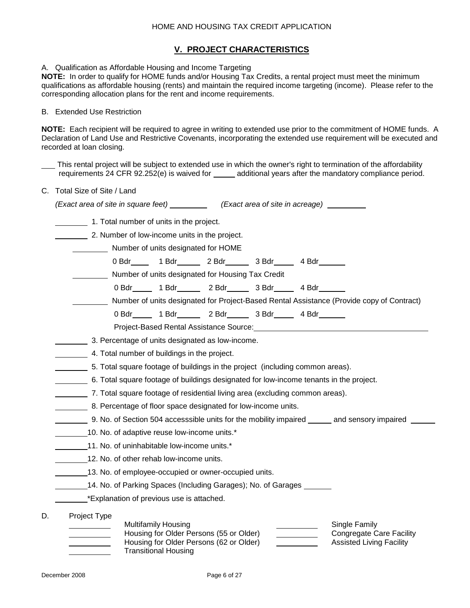## **V. PROJECT CHARACTERISTICS**

A. Qualification as Affordable Housing and Income Targeting

**NOTE:** In order to qualify for HOME funds and/or Housing Tax Credits, a rental project must meet the minimum qualifications as affordable housing (rents) and maintain the required income targeting (income). Please refer to the corresponding allocation plans for the rent and income requirements.

#### B. Extended Use Restriction

**NOTE:** Each recipient will be required to agree in writing to extended use prior to the commitment of HOME funds. A Declaration of Land Use and Restrictive Covenants, incorporating the extended use requirement will be executed and recorded at loan closing.

This rental project will be subject to extended use in which the owner's right to termination of the affordability requirements 24 CFR 92.252(e) is waived for \_\_\_\_\_ additional years after the mandatory compliance period.

C. Total Size of Site / Land

|    | (Exact area of site in square feet) ____________(Exact area of site in acreage)_________                                                                                                                                                                                            |
|----|-------------------------------------------------------------------------------------------------------------------------------------------------------------------------------------------------------------------------------------------------------------------------------------|
|    | 1. Total number of units in the project.                                                                                                                                                                                                                                            |
|    | 2. Number of low-income units in the project.                                                                                                                                                                                                                                       |
|    | Number of units designated for HOME                                                                                                                                                                                                                                                 |
|    | 0 Bdr 1 Bdr 2 Bdr 3 Bdr 4 Bdr 1                                                                                                                                                                                                                                                     |
|    | Number of units designated for Housing Tax Credit                                                                                                                                                                                                                                   |
|    | 0 Bdr _____ 1 Bdr _____ 2 Bdr _____ 3 Bdr ____ 4 Bdr _____                                                                                                                                                                                                                          |
|    | Number of units designated for Project-Based Rental Assistance (Provide copy of Contract)                                                                                                                                                                                           |
|    | 0 Bdr _____ 1 Bdr _____ 2 Bdr _____ 3 Bdr ____ 4 Bdr _____                                                                                                                                                                                                                          |
|    | Project-Based Rental Assistance Source: Network and the control of the control of the control of the control of                                                                                                                                                                     |
|    | 3. Percentage of units designated as low-income.                                                                                                                                                                                                                                    |
|    | 4. Total number of buildings in the project.                                                                                                                                                                                                                                        |
|    | 5. Total square footage of buildings in the project (including common areas).                                                                                                                                                                                                       |
|    | 6. Total square footage of buildings designated for low-income tenants in the project.                                                                                                                                                                                              |
|    | 7. Total square footage of residential living area (excluding common areas).                                                                                                                                                                                                        |
|    | 8. Percentage of floor space designated for low-income units.                                                                                                                                                                                                                       |
|    | __________ 9. No. of Section 504 accesssible units for the mobility impaired _______ and sensory impaired __                                                                                                                                                                        |
|    | 10. No. of adaptive reuse low-income units.*                                                                                                                                                                                                                                        |
|    | 11. No. of uninhabitable low-income units.*                                                                                                                                                                                                                                         |
|    | 12. No. of other rehab low-income units.                                                                                                                                                                                                                                            |
|    | 13. No. of employee-occupied or owner-occupied units.                                                                                                                                                                                                                               |
|    | 14. No. of Parking Spaces (Including Garages); No. of Garages                                                                                                                                                                                                                       |
|    | *Explanation of previous use is attached.                                                                                                                                                                                                                                           |
|    | Project Type                                                                                                                                                                                                                                                                        |
| D. | <b>Multifamily Housing</b><br>Single Family<br>Housing for Older Persons (55 or Older)<br><b>Congregate Care Facility</b><br>Housing for Older Persons (62 or Older)<br><b>Assisted Living Facility</b><br><u>and the community of the community</u><br><b>Transitional Housing</b> |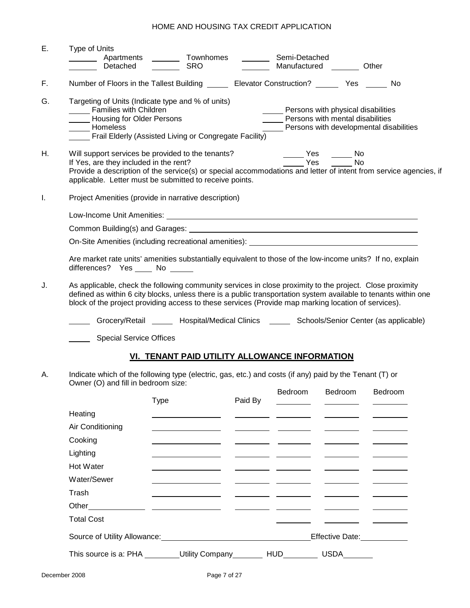| Е. | <b>Type of Units</b><br>________ Apartments<br>Detached                                                                                        | Townhomes<br><b>SRO</b>                                                                                                                                                                                                                                                                                                            |         | Semi-Detached                      | Manufactured Other                                                                          |                                         |  |  |  |  |
|----|------------------------------------------------------------------------------------------------------------------------------------------------|------------------------------------------------------------------------------------------------------------------------------------------------------------------------------------------------------------------------------------------------------------------------------------------------------------------------------------|---------|------------------------------------|---------------------------------------------------------------------------------------------|-----------------------------------------|--|--|--|--|
| F. |                                                                                                                                                | Number of Floors in the Tallest Building _________ Elevator Construction? __________ Yes ________ No                                                                                                                                                                                                                               |         |                                    |                                                                                             |                                         |  |  |  |  |
| G. | Families with Children<br>Housing for Older Persons<br>Homeless                                                                                | Targeting of Units (Indicate type and % of units)<br>Frail Elderly (Assisted Living or Congregate Facility)                                                                                                                                                                                                                        |         | Persons with physical disabilities | Persons with mental disabilities                                                            | Persons with developmental disabilities |  |  |  |  |
| Η. | If Yes, are they included in the rent?                                                                                                         | Will support services be provided to the tenants?<br>Provide a description of the service(s) or special accommodations and letter of intent from service agencies, if<br>applicable. Letter must be submitted to receive points.                                                                                                   |         |                                    | No Nestangle No<br>$\frac{1}{\sqrt{1-\frac{1}{2}}}$ Yes $\frac{1}{\sqrt{1-\frac{1}{2}}}$ No |                                         |  |  |  |  |
| I. |                                                                                                                                                | Project Amenities (provide in narrative description)                                                                                                                                                                                                                                                                               |         |                                    |                                                                                             |                                         |  |  |  |  |
|    |                                                                                                                                                |                                                                                                                                                                                                                                                                                                                                    |         |                                    |                                                                                             |                                         |  |  |  |  |
|    |                                                                                                                                                |                                                                                                                                                                                                                                                                                                                                    |         |                                    |                                                                                             |                                         |  |  |  |  |
|    |                                                                                                                                                | On-Site Amenities (including recreational amenities): ___________________________                                                                                                                                                                                                                                                  |         |                                    |                                                                                             |                                         |  |  |  |  |
|    | differences? Yes _____ No ______                                                                                                               | Are market rate units' amenities substantially equivalent to those of the low-income units? If no, explain                                                                                                                                                                                                                         |         |                                    |                                                                                             |                                         |  |  |  |  |
| J. |                                                                                                                                                | As applicable, check the following community services in close proximity to the project. Close proximity<br>defined as within 6 city blocks, unless there is a public transportation system available to tenants within one<br>block of the project providing access to these services (Provide map marking location of services). |         |                                    |                                                                                             |                                         |  |  |  |  |
|    |                                                                                                                                                | Grocery/Retail _______ Hospital/Medical Clinics _______ Schools/Senior Center (as applicable)                                                                                                                                                                                                                                      |         |                                    |                                                                                             |                                         |  |  |  |  |
|    | <b>Special Service Offices</b>                                                                                                                 |                                                                                                                                                                                                                                                                                                                                    |         |                                    |                                                                                             |                                         |  |  |  |  |
|    |                                                                                                                                                | VI. TENANT PAID UTILITY ALLOWANCE INFORMATION                                                                                                                                                                                                                                                                                      |         |                                    |                                                                                             |                                         |  |  |  |  |
| А. | Indicate which of the following type (electric, gas, etc.) and costs (if any) paid by the Tenant (T) or<br>Owner (O) and fill in bedroom size: |                                                                                                                                                                                                                                                                                                                                    |         |                                    |                                                                                             |                                         |  |  |  |  |
|    |                                                                                                                                                | <b>Type</b>                                                                                                                                                                                                                                                                                                                        | Paid By | Bedroom                            | Bedroom                                                                                     | Bedroom                                 |  |  |  |  |
|    | Heating                                                                                                                                        |                                                                                                                                                                                                                                                                                                                                    |         |                                    |                                                                                             |                                         |  |  |  |  |
|    | Air Conditioning                                                                                                                               |                                                                                                                                                                                                                                                                                                                                    |         |                                    |                                                                                             |                                         |  |  |  |  |
|    | Cooking                                                                                                                                        |                                                                                                                                                                                                                                                                                                                                    |         |                                    |                                                                                             |                                         |  |  |  |  |
|    | Lighting                                                                                                                                       |                                                                                                                                                                                                                                                                                                                                    |         |                                    |                                                                                             |                                         |  |  |  |  |
|    | Hot Water                                                                                                                                      |                                                                                                                                                                                                                                                                                                                                    |         |                                    |                                                                                             |                                         |  |  |  |  |
|    | Water/Sewer                                                                                                                                    |                                                                                                                                                                                                                                                                                                                                    |         |                                    |                                                                                             |                                         |  |  |  |  |
|    | Trash                                                                                                                                          |                                                                                                                                                                                                                                                                                                                                    |         |                                    |                                                                                             |                                         |  |  |  |  |
|    | Other _________                                                                                                                                | <u>and the state of the state of the state of the state of the state of the state of the state of the state of the state of the state of the state of the state of the state of the state of the state of the state of the state</u>                                                                                               |         |                                    |                                                                                             |                                         |  |  |  |  |
|    | <b>Total Cost</b>                                                                                                                              |                                                                                                                                                                                                                                                                                                                                    |         |                                    |                                                                                             |                                         |  |  |  |  |
|    |                                                                                                                                                |                                                                                                                                                                                                                                                                                                                                    |         |                                    | Effective Date: Management                                                                  |                                         |  |  |  |  |
|    |                                                                                                                                                | This source is a: PHA _________Utility Company__________ HUD______                                                                                                                                                                                                                                                                 |         |                                    | <b>USDA</b>                                                                                 |                                         |  |  |  |  |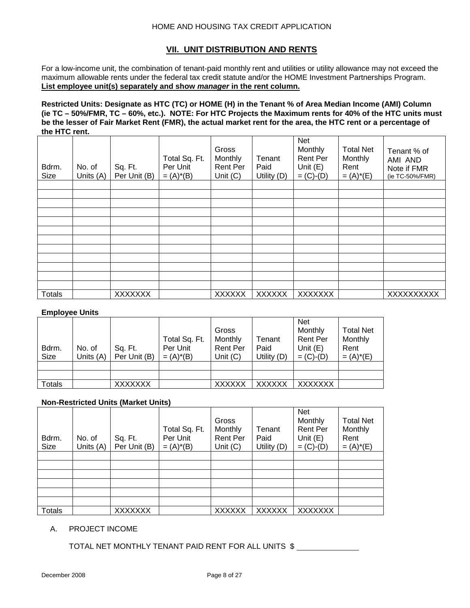## **VII. UNIT DISTRIBUTION AND RENTS**

For a low-income unit, the combination of tenant-paid monthly rent and utilities or utility allowance may not exceed the maximum allowable rents under the federal tax credit statute and/or the HOME Investment Partnerships Program. **List employee unit(s) separately and show** *manager* **in the rent column.**

**Restricted Units: Designate as HTC (TC) or HOME (H) in the Tenant % of Area Median Income (AMI) Column (ie TC – 50%/FMR, TC – 60%, etc.). NOTE: For HTC Projects the Maximum rents for 40% of the HTC units must be the lesser of Fair Market Rent (FMR), the actual market rent for the area, the HTC rent or a percentage of the HTC rent.** 

| Bdrm.<br><b>Size</b> | No. of<br>Units (A) | Sq. Ft.<br>Per Unit (B) | Total Sq. Ft.<br>Per Unit<br>$= (A)^*(B)$ | Gross<br>Monthly<br>Rent Per<br>Unit $(C)$ | Tenant<br>Paid<br>Utility (D) | Net<br>Monthly<br>Rent Per<br>Unit $(E)$<br>$= (C)-(D)$ | <b>Total Net</b><br>Monthly<br>Rent<br>$= (A)^*(E)$ | Tenant % of<br>AMI AND<br>Note if FMR<br>(ie TC-50%/FMR) |
|----------------------|---------------------|-------------------------|-------------------------------------------|--------------------------------------------|-------------------------------|---------------------------------------------------------|-----------------------------------------------------|----------------------------------------------------------|
|                      |                     |                         |                                           |                                            |                               |                                                         |                                                     |                                                          |
|                      |                     |                         |                                           |                                            |                               |                                                         |                                                     |                                                          |
|                      |                     |                         |                                           |                                            |                               |                                                         |                                                     |                                                          |
|                      |                     |                         |                                           |                                            |                               |                                                         |                                                     |                                                          |
|                      |                     |                         |                                           |                                            |                               |                                                         |                                                     |                                                          |
|                      |                     |                         |                                           |                                            |                               |                                                         |                                                     |                                                          |
|                      |                     |                         |                                           |                                            |                               |                                                         |                                                     |                                                          |
|                      |                     |                         |                                           |                                            |                               |                                                         |                                                     |                                                          |
|                      |                     |                         |                                           |                                            |                               |                                                         |                                                     |                                                          |
|                      |                     |                         |                                           |                                            |                               |                                                         |                                                     |                                                          |
| <b>Totals</b>        |                     | <b>XXXXXXX</b>          |                                           | <b>XXXXXX</b>                              | <b>XXXXXX</b>                 | <b>XXXXXXX</b>                                          |                                                     | XXXXXXXXX                                                |

### **Employee Units**

| Bdrm.<br>Size | No. of<br>Units $(A)$ | Sq. Ft.<br>Per Unit (B) | Total Sq. Ft.<br>Per Unit<br>$= (A)^*(B)$ | Gross<br>Monthly<br><b>Rent Per</b><br>Unit $(C)$ | Tenant<br>Paid<br>Utility $(D)$ | <b>Net</b><br>Monthly<br><b>Rent Per</b><br>Unit $(E)$<br>$= (C)-(D)$ | <b>Total Net</b><br>Monthly<br>Rent<br>$= (A)^*(E)$ |
|---------------|-----------------------|-------------------------|-------------------------------------------|---------------------------------------------------|---------------------------------|-----------------------------------------------------------------------|-----------------------------------------------------|
|               |                       |                         |                                           |                                                   |                                 |                                                                       |                                                     |
|               |                       |                         |                                           |                                                   |                                 |                                                                       |                                                     |
| Totals        |                       | <b>XXXXXXX</b>          |                                           | <b>XXXXXX</b>                                     | <b>XXXXXX</b>                   | <b>XXXXXXX</b>                                                        |                                                     |

## **Non-Restricted Units (Market Units)**

| Bdrm.<br>Size | No. of<br>Units (A) | Sq. Ft.<br>Per Unit (B) | Total Sq. Ft.<br>Per Unit<br>$= (A)^*(B)$ | Gross<br>Monthly<br><b>Rent Per</b><br>Unit $(C)$ | Tenant<br>Paid<br>Utility (D) | <b>Net</b><br>Monthly<br>Rent Per<br>Unit $(E)$<br>$= (C)-(D)$ | <b>Total Net</b><br>Monthly<br>Rent<br>$= (A)^*(E)$ |
|---------------|---------------------|-------------------------|-------------------------------------------|---------------------------------------------------|-------------------------------|----------------------------------------------------------------|-----------------------------------------------------|
|               |                     |                         |                                           |                                                   |                               |                                                                |                                                     |
|               |                     |                         |                                           |                                                   |                               |                                                                |                                                     |
|               |                     |                         |                                           |                                                   |                               |                                                                |                                                     |
|               |                     |                         |                                           |                                                   |                               |                                                                |                                                     |
|               |                     |                         |                                           |                                                   |                               |                                                                |                                                     |
|               |                     |                         |                                           |                                                   |                               |                                                                |                                                     |
| <b>Totals</b> |                     | <b>XXXXXXX</b>          |                                           | <b>XXXXXX</b>                                     | <b>XXXXXX</b>                 | XXXXXXX                                                        |                                                     |

#### A. PROJECT INCOME

TOTAL NET MONTHLY TENANT PAID RENT FOR ALL UNITS \$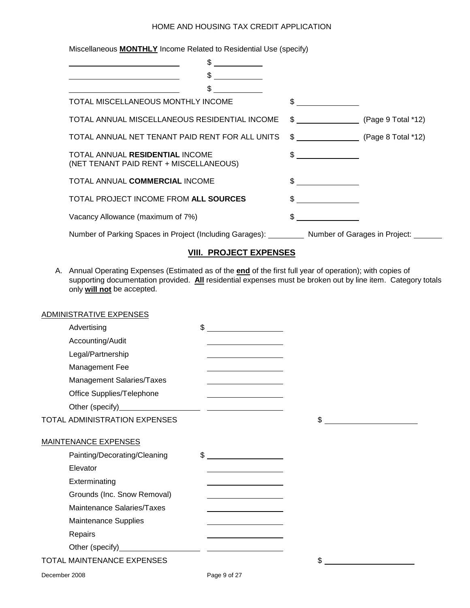Miscellaneous **MONTHLY** Income Related to Residential Use (specify)

| \$                                                                                     |                               |                         |
|----------------------------------------------------------------------------------------|-------------------------------|-------------------------|
| \$                                                                                     |                               |                         |
| \$.                                                                                    |                               |                         |
| TOTAL MISCELLANEOUS MONTHLY INCOME                                                     | $\frac{1}{2}$                 |                         |
| TOTAL ANNUAL MISCELLANEOUS RESIDENTIAL INCOME                                          | $\frac{1}{2}$                 | (Page $9$ Total $*12$ ) |
| TOTAL ANNUAL NET TENANT PAID RENT FOR ALL UNITS                                        | $\text{G}$ (Page 8 Total *12) |                         |
| TOTAL ANNUAL RESIDENTIAL INCOME<br>(NET TENANT PAID RENT + MISCELLANEOUS)              | $\frac{1}{2}$                 |                         |
| TOTAL ANNUAL COMMERCIAL INCOME                                                         |                               |                         |
| TOTAL PROJECT INCOME FROM ALL SOURCES                                                  | $\sim$ $\sim$                 |                         |
| Vacancy Allowance (maximum of 7%)                                                      |                               |                         |
| Number of Parking Spaces in Project (Including Garages): Number of Garages in Project: |                               |                         |

# **VIII. PROJECT EXPENSES**

A. Annual Operating Expenses (Estimated as of the **end** of the first full year of operation); with copies of supporting documentation provided. **All** residential expenses must be broken out by line item. Category totals only **will not** be accepted.

|               | ADMINISTRATIVE EXPENSES           |                                                                 |    |
|---------------|-----------------------------------|-----------------------------------------------------------------|----|
|               | Advertising                       | $\frac{1}{2}$                                                   |    |
|               | Accounting/Audit                  |                                                                 |    |
|               | Legal/Partnership                 | <u> 1980 - Johann Barn, mars an t-Amerikaansk kommunister (</u> |    |
|               | Management Fee                    |                                                                 |    |
|               | Management Salaries/Taxes         |                                                                 |    |
|               | Office Supplies/Telephone         | <u> 1989 - Johann Barn, mars an t-Amerikaansk komponister (</u> |    |
|               |                                   |                                                                 |    |
|               | TOTAL ADMINISTRATION EXPENSES     |                                                                 | \$ |
|               | <b>MAINTENANCE EXPENSES</b>       |                                                                 |    |
|               | Painting/Decorating/Cleaning      | $\frac{1}{2}$                                                   |    |
|               | Elevator                          |                                                                 |    |
|               | Exterminating                     |                                                                 |    |
|               | Grounds (Inc. Snow Removal)       |                                                                 |    |
|               | Maintenance Salaries/Taxes        |                                                                 |    |
|               | <b>Maintenance Supplies</b>       |                                                                 |    |
|               | Repairs                           |                                                                 |    |
|               |                                   |                                                                 |    |
|               | <b>TOTAL MAINTENANCE EXPENSES</b> |                                                                 | \$ |
| December 2008 |                                   | Page 9 of 27                                                    |    |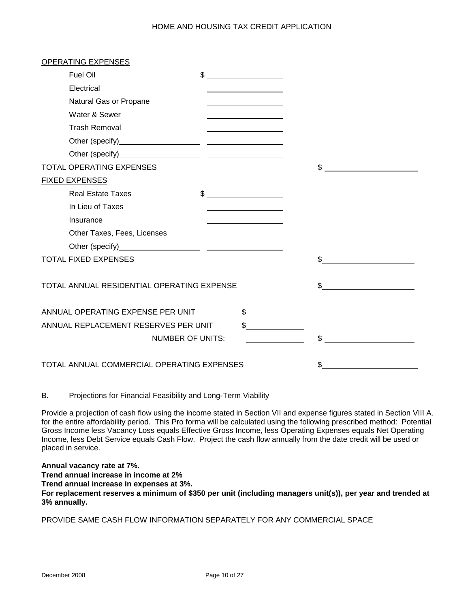| <b>OPERATING EXPENSES</b>                  |                         |               |     |  |
|--------------------------------------------|-------------------------|---------------|-----|--|
| Fuel Oil                                   | $^{\circ}$              |               |     |  |
| Electrical                                 |                         |               |     |  |
| Natural Gas or Propane                     |                         |               |     |  |
| Water & Sewer                              |                         |               |     |  |
| <b>Trash Removal</b>                       |                         |               |     |  |
|                                            |                         |               |     |  |
|                                            |                         |               |     |  |
| <b>TOTAL OPERATING EXPENSES</b>            |                         |               | \$  |  |
| <b>FIXED EXPENSES</b>                      |                         |               |     |  |
| <b>Real Estate Taxes</b>                   |                         | $\frac{1}{2}$ |     |  |
| In Lieu of Taxes                           |                         |               |     |  |
| Insurance                                  |                         |               |     |  |
| Other Taxes, Fees, Licenses                |                         |               |     |  |
|                                            |                         |               |     |  |
| <b>TOTAL FIXED EXPENSES</b>                |                         |               | \$  |  |
|                                            |                         |               |     |  |
| TOTAL ANNUAL RESIDENTIAL OPERATING EXPENSE |                         |               | \$. |  |
|                                            |                         |               |     |  |
| ANNUAL OPERATING EXPENSE PER UNIT          |                         | $\frac{1}{2}$ |     |  |
| ANNUAL REPLACEMENT RESERVES PER UNIT       |                         |               |     |  |
|                                            | <b>NUMBER OF UNITS:</b> |               | \$  |  |
|                                            |                         |               |     |  |
| TOTAL ANNUAL COMMERCIAL OPERATING EXPENSES |                         |               |     |  |

B. Projections for Financial Feasibility and Long-Term Viability

Provide a projection of cash flow using the income stated in Section VII and expense figures stated in Section VIII A. for the entire affordability period. This Pro forma will be calculated using the following prescribed method: Potential Gross Income less Vacancy Loss equals Effective Gross Income, less Operating Expenses equals Net Operating Income, less Debt Service equals Cash Flow. Project the cash flow annually from the date credit will be used or placed in service.

**Annual vacancy rate at 7%.**

**Trend annual increase in income at 2%**

**Trend annual increase in expenses at 3%.**

**For replacement reserves a minimum of \$350 per unit (including managers unit(s)), per year and trended at 3% annually.**

PROVIDE SAME CASH FLOW INFORMATION SEPARATELY FOR ANY COMMERCIAL SPACE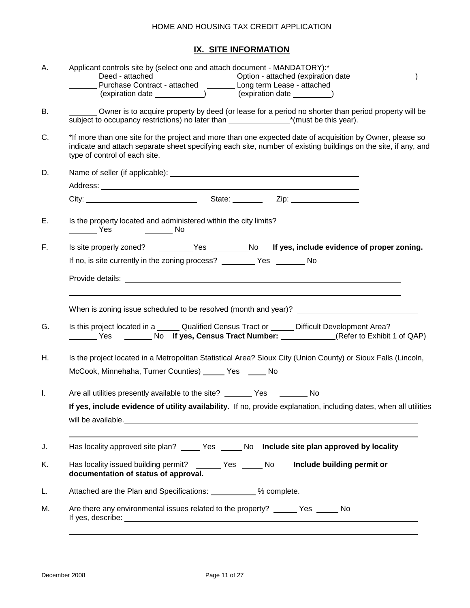# **IX. SITE INFORMATION**

| Α.  | Applicant controls site by (select one and attach document - MANDATORY):*<br>________ Deed - attached _______________________Option - attached (expiration date ________________)<br>________ Purchase Contract - attached __________ Long term Lease - attached |  |  |  |  |
|-----|------------------------------------------------------------------------------------------------------------------------------------------------------------------------------------------------------------------------------------------------------------------|--|--|--|--|
| В.  | Owner is to acquire property by deed (or lease for a period no shorter than period property will be                                                                                                                                                              |  |  |  |  |
| C.  | *If more than one site for the project and more than one expected date of acquisition by Owner, please so<br>indicate and attach separate sheet specifying each site, number of existing buildings on the site, if any, and<br>type of control of each site.     |  |  |  |  |
| D.  |                                                                                                                                                                                                                                                                  |  |  |  |  |
|     |                                                                                                                                                                                                                                                                  |  |  |  |  |
|     |                                                                                                                                                                                                                                                                  |  |  |  |  |
| Е.  | Is the property located and administered within the city limits?<br>___________ Yes ____________ No                                                                                                                                                              |  |  |  |  |
| F., | Is site properly zoned? ________Yes ________No If yes, include evidence of proper zoning.                                                                                                                                                                        |  |  |  |  |
|     | If no, is site currently in the zoning process? __________ Yes ________ No                                                                                                                                                                                       |  |  |  |  |
|     |                                                                                                                                                                                                                                                                  |  |  |  |  |
|     |                                                                                                                                                                                                                                                                  |  |  |  |  |
| G.  | Is this project located in a ______ Qualified Census Tract or ______ Difficult Development Area?                                                                                                                                                                 |  |  |  |  |
| Η.  | Is the project located in a Metropolitan Statistical Area? Sioux City (Union County) or Sioux Falls (Lincoln,                                                                                                                                                    |  |  |  |  |
|     | McCook, Minnehaha, Turner Counties) ______ Yes _____ No                                                                                                                                                                                                          |  |  |  |  |
|     |                                                                                                                                                                                                                                                                  |  |  |  |  |
| Ι.  | Are all utilities presently available to the site? ________ Yes _________ No                                                                                                                                                                                     |  |  |  |  |
|     | If yes, include evidence of utility availability. If no, provide explanation, including dates, when all utilities                                                                                                                                                |  |  |  |  |
|     |                                                                                                                                                                                                                                                                  |  |  |  |  |
| J.  | Has locality approved site plan? _____ Yes _____ No Include site plan approved by locality                                                                                                                                                                       |  |  |  |  |
| Κ.  | Has locality issued building permit? _______ Yes _____ No<br>Include building permit or<br>documentation of status of approval.                                                                                                                                  |  |  |  |  |
| L.  | Attached are the Plan and Specifications: ___________ % complete.                                                                                                                                                                                                |  |  |  |  |
| М.  | Are there any environmental issues related to the property? ______ Yes _____<br>No                                                                                                                                                                               |  |  |  |  |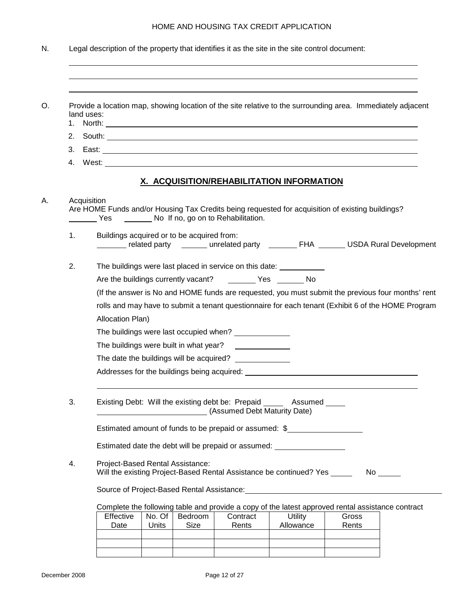|    | Provide a location map, showing location of the site relative to the surrounding area. Immediately adjacent<br>land uses:                                                                                                         |  |  |  |  |  |
|----|-----------------------------------------------------------------------------------------------------------------------------------------------------------------------------------------------------------------------------------|--|--|--|--|--|
|    |                                                                                                                                                                                                                                   |  |  |  |  |  |
| 3. |                                                                                                                                                                                                                                   |  |  |  |  |  |
| 4. |                                                                                                                                                                                                                                   |  |  |  |  |  |
|    | <u>X. ACQUISITION/REHABILITATION INFORMATION</u>                                                                                                                                                                                  |  |  |  |  |  |
|    | Acquisition<br>Are HOME Funds and/or Housing Tax Credits being requested for acquisition of existing buildings?<br>Yes No If no, go on to Rehabilitation.                                                                         |  |  |  |  |  |
| 1. | Buildings acquired or to be acquired from:<br>related party _______ unrelated party ________ FHA ______ USDA Rural Development                                                                                                    |  |  |  |  |  |
| 2. | The buildings were last placed in service on this date: ____________                                                                                                                                                              |  |  |  |  |  |
|    | Are the buildings currently vacant? ___________ Yes ________ No                                                                                                                                                                   |  |  |  |  |  |
|    | (If the answer is No and HOME funds are requested, you must submit the previous four months' rent                                                                                                                                 |  |  |  |  |  |
|    | rolls and may have to submit a tenant questionnaire for each tenant (Exhibit 6 of the HOME Program                                                                                                                                |  |  |  |  |  |
|    | Allocation Plan)                                                                                                                                                                                                                  |  |  |  |  |  |
|    |                                                                                                                                                                                                                                   |  |  |  |  |  |
|    | The buildings were last occupied when? ______________                                                                                                                                                                             |  |  |  |  |  |
|    | The buildings were built in what year?                                                                                                                                                                                            |  |  |  |  |  |
|    | The date the buildings will be acquired? _____________                                                                                                                                                                            |  |  |  |  |  |
|    |                                                                                                                                                                                                                                   |  |  |  |  |  |
|    | Existing Debt: Will the existing debt be: Prepaid ______ Assumed _____<br>(Assumed Debt Maturity Date)                                                                                                                            |  |  |  |  |  |
| 3. | Estimated amount of funds to be prepaid or assumed: \$                                                                                                                                                                            |  |  |  |  |  |
|    | Estimated date the debt will be prepaid or assumed: ____________________________                                                                                                                                                  |  |  |  |  |  |
| 4. | Project-Based Rental Assistance:<br>Will the existing Project-Based Rental Assistance be continued? Yes ______<br>No the set of the set of the set of the set of the set of the set of the set of the set of the set of the set o |  |  |  |  |  |
|    | Source of Project-Based Rental Assistance: Management of Project-Based Rental Assistance:                                                                                                                                         |  |  |  |  |  |
|    | Complete the following table and provide a copy of the latest approved rental assistance contract                                                                                                                                 |  |  |  |  |  |
|    | Effective<br>No. Of<br>Bedroom<br>Contract<br><b>Utility</b><br>Gross<br><b>Size</b><br>Allowance<br>Date<br>Units<br>Rents<br>Rents                                                                                              |  |  |  |  |  |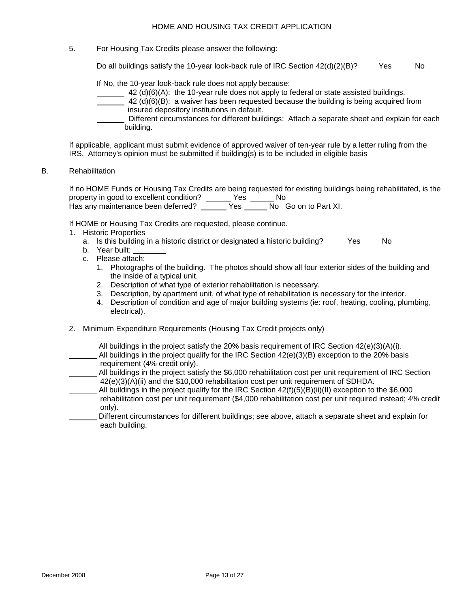5. For Housing Tax Credits please answer the following:

Do all buildings satisfy the 10-year look-back rule of IRC Section  $42(d)(2)(B)?$  Yes No

If No, the 10-year look-back rule does not apply because:

- $\frac{42 \text{ (d)(6)(A)}}{2}$  the 10-year rule does not apply to federal or state assisted buildings.
- $42$  (d)(6)(B): a waiver has been requested because the building is being acquired from insured depository institutions in default.
- Different circumstances for different buildings: Attach a separate sheet and explain for each building.

If applicable, applicant must submit evidence of approved waiver of ten-year rule by a letter ruling from the IRS. Attorney's opinion must be submitted if building(s) is to be included in eligible basis

B. Rehabilitation

If no HOME Funds or Housing Tax Credits are being requested for existing buildings being rehabilitated, is the property in good to excellent condition? \_\_\_\_\_\_ Yes \_\_\_\_\_\_ No Has any maintenance been deferred? <br>
Has any maintenance been deferred? <br>
Yes No Go on to Part XI.

If HOME or Housing Tax Credits are requested, please continue.

- 1. Historic Properties
	- a. Is this building in a historic district or designated a historic building? Yes No
	- b. Year built:
	- c. Please attach:
		- 1. Photographs of the building. The photos should show all four exterior sides of the building and the inside of a typical unit.
		- 2. Description of what type of exterior rehabilitation is necessary.
		- 3. Description, by apartment unit, of what type of rehabilitation is necessary for the interior.
		- 4. Description of condition and age of major building systems (ie: roof, heating, cooling, plumbing, electrical).
- 2. Minimum Expenditure Requirements (Housing Tax Credit projects only)
- All buildings in the project satisfy the 20% basis requirement of IRC Section  $42(e)(3)(A)(i)$ . All buildings in the project qualify for the IRC Section  $42(e)(3)(B)$  exception to the 20% basis
- requirement (4% credit only).
- All buildings in the project satisfy the \$6,000 rehabilitation cost per unit requirement of IRC Section 42(e)(3)(A)(ii) and the \$10,000 rehabilitation cost per unit requirement of SDHDA.
- All buildings in the project qualify for the IRC Section 42(f)(5)(B)(ii)(II) exception to the \$6,000 rehabilitation cost per unit requirement (\$4,000 rehabilitation cost per unit required instead; 4% credit only).
- Different circumstances for different buildings; see above, attach a separate sheet and explain for each building.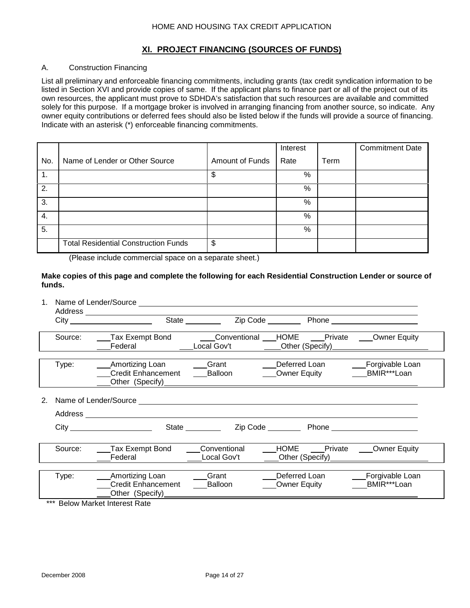### **XI. PROJECT FINANCING (SOURCES OF FUNDS)**

## A. Construction Financing

List all preliminary and enforceable financing commitments, including grants (tax credit syndication information to be listed in Section XVI and provide copies of same. If the applicant plans to finance part or all of the project out of its own resources, the applicant must prove to SDHDA's satisfaction that such resources are available and committed solely for this purpose. If a mortgage broker is involved in arranging financing from another source, so indicate. Any owner equity contributions or deferred fees should also be listed below if the funds will provide a source of financing. Indicate with an asterisk (\*) enforceable financing commitments.

|                                             |                                                                                                                                                                                                                                            | Interest                           |      | <b>Commitment Date</b> |
|---------------------------------------------|--------------------------------------------------------------------------------------------------------------------------------------------------------------------------------------------------------------------------------------------|------------------------------------|------|------------------------|
| Name of Lender or Other Source              | Amount of Funds                                                                                                                                                                                                                            | Rate                               | Term |                        |
|                                             | \$                                                                                                                                                                                                                                         | $\%$                               |      |                        |
|                                             |                                                                                                                                                                                                                                            | %                                  |      |                        |
|                                             |                                                                                                                                                                                                                                            | $\%$                               |      |                        |
|                                             |                                                                                                                                                                                                                                            | %                                  |      |                        |
|                                             |                                                                                                                                                                                                                                            | %                                  |      |                        |
| <b>Total Residential Construction Funds</b> | \$                                                                                                                                                                                                                                         |                                    |      |                        |
|                                             | $\overline{\phantom{a}}$ , and the contract of the contract of the contract of the contract of the contract of the contract of the contract of the contract of the contract of the contract of the contract of the contract of the contrac | $\sim$ $\sim$ $\sim$ $\sim$ $\sim$ |      |                        |

(Please include commercial space on a separate sheet.)

#### **Make copies of this page and complete the following for each Residential Construction Lender or source of funds.**

|         | Address _____________________                                                                                                                                                                                                                                                        |                                     |                                                                                                               |                                |
|---------|--------------------------------------------------------------------------------------------------------------------------------------------------------------------------------------------------------------------------------------------------------------------------------------|-------------------------------------|---------------------------------------------------------------------------------------------------------------|--------------------------------|
| Source: | <b>Tax Exempt Bond Conventional HOME</b> Private Comer Equity<br>Federal                                                                                                                                                                                                             |                                     | Local Gov't Communication Communication Communication Communication Communication Communication Communication |                                |
| Type:   | Amortizing Loan<br><b>Credit Enhancement</b><br>Other (Specify) <b>Contains the Container Contains and Contains and Contains and Contains and Contains and Contains and Contains and Contains and Contains and Contains and Contains and Contains and Contains and Contains and </b> | <b>Sand School</b> Grant<br>Balloon | Deferred Loan<br>Owner Equity <b>BMIR***Loan</b>                                                              | <b>Example Forgivable Loan</b> |
|         |                                                                                                                                                                                                                                                                                      |                                     |                                                                                                               |                                |
|         |                                                                                                                                                                                                                                                                                      |                                     |                                                                                                               |                                |
|         |                                                                                                                                                                                                                                                                                      | State _________                     |                                                                                                               |                                |
| Source: | Tax Exempt Bond<br>Federal                                                                                                                                                                                                                                                           | Conventional<br>Local Gov't         | HOME ____Private ____Owner Equity<br>Other (Specify) <b>Contains the Contract of Specify</b>                  |                                |
| Type:   | Amortizing Loan<br><b>Credit Enhancement</b><br>Other (Specify) <b>Contains the Container Contains and Contains and Contains and Contains and Contains and Contains and Contains and Contains and Contains and Contains and Contains and Contains and Contains and Contains and </b> | Grant<br>Balloon                    | Deferred Loan<br>Owner Equity                                                                                 | Forgivable Loan<br>BMIR***Loan |
|         | *** Below Market Interest Rate                                                                                                                                                                                                                                                       |                                     |                                                                                                               |                                |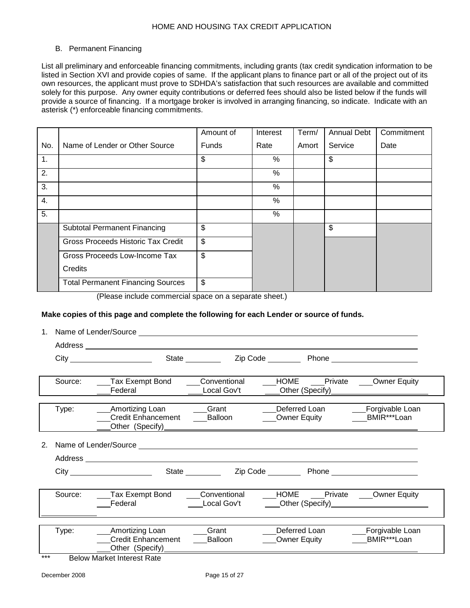#### B. Permanent Financing

List all preliminary and enforceable financing commitments, including grants (tax credit syndication information to be listed in Section XVI and provide copies of same. If the applicant plans to finance part or all of the project out of its own resources, the applicant must prove to SDHDA's satisfaction that such resources are available and committed solely for this purpose. Any owner equity contributions or deferred fees should also be listed below if the funds will provide a source of financing. If a mortgage broker is involved in arranging financing, so indicate. Indicate with an asterisk (\*) enforceable financing commitments.

|     |                                          | Amount of    | Interest | Term/ | <b>Annual Debt</b> | Commitment |
|-----|------------------------------------------|--------------|----------|-------|--------------------|------------|
| No. | Name of Lender or Other Source           | <b>Funds</b> | Rate     | Amort | Service            | Date       |
| 1.  |                                          | \$           | %        |       | \$                 |            |
| 2.  |                                          |              | %        |       |                    |            |
| 3.  |                                          |              | %        |       |                    |            |
| 4.  |                                          |              | %        |       |                    |            |
| 5.  |                                          |              | %        |       |                    |            |
|     | <b>Subtotal Permanent Financing</b>      | \$           |          |       | \$                 |            |
|     | Gross Proceeds Historic Tax Credit       | \$           |          |       |                    |            |
|     | Gross Proceeds Low-Income Tax            | \$           |          |       |                    |            |
|     | Credits                                  |              |          |       |                    |            |
|     | <b>Total Permanent Financing Sources</b> | \$           |          |       |                    |            |

(Please include commercial space on a separate sheet.)

#### **Make copies of this page and complete the following for each Lender or source of funds.**

|  | 1. | . Name of Lender/Source |
|--|----|-------------------------|
|--|----|-------------------------|

|     |         | City                                                                                                    | State _________             |                                                                       |                                    |
|-----|---------|---------------------------------------------------------------------------------------------------------|-----------------------------|-----------------------------------------------------------------------|------------------------------------|
|     | Source: | Tax Exempt Bond<br>Federal                                                                              | Conventional<br>Local Gov't | HOME Private Owner Equity<br>___Other (Specify)______________________ |                                    |
|     | Type:   | <b>Amortizing Loan</b><br><b>Credit Enhancement</b>                                                     | Grant<br>Balloon            | Deferred Loan                                                         | Forgivable Loan                    |
| 2.  |         | Address _____________________                                                                           |                             |                                                                       |                                    |
|     |         |                                                                                                         | State _________             |                                                                       |                                    |
|     | Source: | Tax Exempt Bond<br>Federal                                                                              | Conventional<br>Local Gov't | HOME Private Owner Equity<br>Other (Specify)<br><u>Community</u>      |                                    |
| *** | Type:   | <b>Amortizing Loan</b><br><b>Credit Enhancement</b><br>Other (Specify)____<br>Delaw Mediat between Deta | Grant<br>Balloon            | Deferred Loan<br>Owner Equity                                         | Forgivable Loan<br>____BMIR***Loan |

**Below Market Interest Rate**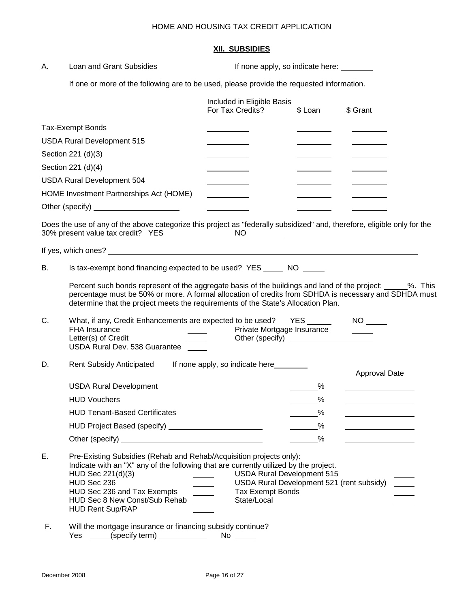## **XII. SUBSIDIES**

| А. | Loan and Grant Subsidies                                                                                                                                                                                                                                                                                  | If none apply, so indicate here:                                                                                         |                        |               |
|----|-----------------------------------------------------------------------------------------------------------------------------------------------------------------------------------------------------------------------------------------------------------------------------------------------------------|--------------------------------------------------------------------------------------------------------------------------|------------------------|---------------|
|    | If one or more of the following are to be used, please provide the requested information.                                                                                                                                                                                                                 |                                                                                                                          |                        |               |
|    |                                                                                                                                                                                                                                                                                                           | Included in Eligible Basis<br>For Tax Credits?                                                                           | \$ Loan                | \$ Grant      |
|    | <b>Tax-Exempt Bonds</b>                                                                                                                                                                                                                                                                                   |                                                                                                                          |                        |               |
|    | <b>USDA Rural Development 515</b>                                                                                                                                                                                                                                                                         |                                                                                                                          |                        |               |
|    | Section 221 (d)(3)                                                                                                                                                                                                                                                                                        |                                                                                                                          |                        |               |
|    | Section 221 (d)(4)                                                                                                                                                                                                                                                                                        |                                                                                                                          |                        |               |
|    | <b>USDA Rural Development 504</b>                                                                                                                                                                                                                                                                         |                                                                                                                          |                        |               |
|    | HOME Investment Partnerships Act (HOME)                                                                                                                                                                                                                                                                   |                                                                                                                          |                        |               |
|    | Other (specify) <u>and a set of the set of the set of the set of the set of the set of the set of the set of the set of the set of the set of the set of the set of the set of the set of the set of the set of the set of the s</u>                                                                      |                                                                                                                          |                        |               |
|    | Does the use of any of the above categorize this project as "federally subsidized" and, therefore, eligible only for the                                                                                                                                                                                  |                                                                                                                          |                        |               |
|    |                                                                                                                                                                                                                                                                                                           |                                                                                                                          |                        |               |
| В. | Is tax-exempt bond financing expected to be used? YES ______ NO ______                                                                                                                                                                                                                                    |                                                                                                                          |                        |               |
|    | Percent such bonds represent of the aggregate basis of the buildings and land of the project: ______%. This<br>percentage must be 50% or more. A formal allocation of credits from SDHDA is necessary and SDHDA must<br>determine that the project meets the requirements of the State's Allocation Plan. |                                                                                                                          |                        |               |
| C. | What, if any, Credit Enhancements are expected to be used? YES _____<br><b>FHA Insurance</b><br>Letter(s) of Credit<br>USDA Rural Dev. 538 Guarantee                                                                                                                                                      | Private Mortgage Insurance                                                                                               |                        |               |
| D. | <b>Rent Subsidy Anticipated</b>                                                                                                                                                                                                                                                                           | If none apply, so indicate here                                                                                          |                        | Approval Date |
|    | <b>USDA Rural Development</b>                                                                                                                                                                                                                                                                             |                                                                                                                          | $\%$                   |               |
|    | <b>HUD Vouchers</b>                                                                                                                                                                                                                                                                                       |                                                                                                                          | $\frac{9}{6}$          |               |
|    | <b>HUD Tenant-Based Certificates</b>                                                                                                                                                                                                                                                                      |                                                                                                                          | $\sim$ $\frac{\%}{\%}$ |               |
|    | HUD Project Based (specify) ____________________________                                                                                                                                                                                                                                                  |                                                                                                                          | $\sim$ %               |               |
|    | Other (specify) <u>contained a set of the set of the set of the set of the set of the set of the set of the set of the set of the set of the set of the set of the set of the set of the set of the set of the set of the set of</u>                                                                      |                                                                                                                          | $\%$                   |               |
| Ε. | Pre-Existing Subsidies (Rehab and Rehab/Acquisition projects only):<br>Indicate with an "X" any of the following that are currently utilized by the project.<br>HUD Sec 221(d)(3)<br>HUD Sec 236<br>HUD Sec 236 and Tax Exempts<br>HUD Sec 8 New Const/Sub Rehab<br><b>HUD Rent Sup/RAP</b>               | <b>USDA Rural Development 515</b><br>USDA Rural Development 521 (rent subsidy)<br><b>Tax Exempt Bonds</b><br>State/Local |                        |               |
| F. | Will the mortgage insurance or financing subsidy continue?<br>Yes                                                                                                                                                                                                                                         |                                                                                                                          |                        |               |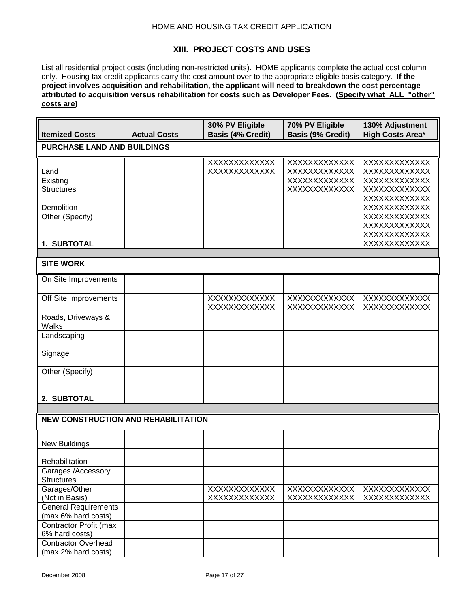## **XIII. PROJECT COSTS AND USES**

List all residential project costs (including non-restricted units). HOME applicants complete the actual cost column only. Housing tax credit applicants carry the cost amount over to the appropriate eligible basis category. **If the project involves acquisition and rehabilitation, the applicant will need to breakdown the cost percentage attributed to acquisition versus rehabilitation for costs such as Developer Fees**. **(Specify what ALL "other" costs are)**

| <b>Itemized Costs</b>                         | <b>Actual Costs</b> | 30% PV Eligible<br><b>Basis (4% Credit)</b> | 70% PV Eligible<br><b>Basis (9% Credit)</b> | 130% Adjustment<br><b>High Costs Area*</b> |
|-----------------------------------------------|---------------------|---------------------------------------------|---------------------------------------------|--------------------------------------------|
| <b>PURCHASE LAND AND BUILDINGS</b>            |                     |                                             |                                             |                                            |
| Land                                          |                     | XXXXXXXXXXXX<br>XXXXXXXXXXXX                | XXXXXXXXXXXX<br>XXXXXXXXXXXX                | XXXXXXXXXXXX<br>XXXXXXXXXXXX               |
| Existing<br><b>Structures</b>                 |                     |                                             | XXXXXXXXXXXX<br>XXXXXXXXXXXX                | XXXXXXXXXXXXX<br>XXXXXXXXXXXX              |
| Demolition                                    |                     |                                             |                                             | XXXXXXXXXXXX<br>XXXXXXXXXXXX               |
| Other (Specify)                               |                     |                                             |                                             | <b>XXXXXXXXXXXXX</b><br>XXXXXXXXXXXX       |
| 1. SUBTOTAL                                   |                     |                                             |                                             | XXXXXXXXXXXX<br>XXXXXXXXXXXX               |
| <b>SITE WORK</b>                              |                     |                                             |                                             |                                            |
|                                               |                     |                                             |                                             |                                            |
| On Site Improvements                          |                     |                                             |                                             |                                            |
| Off Site Improvements                         |                     | XXXXXXXXXXXX<br>XXXXXXXXXXXX                | XXXXXXXXXXXX<br>XXXXXXXXXXXX                | XXXXXXXXXXXX<br><b>XXXXXXXXXXXXX</b>       |
| Roads, Driveways &<br>Walks                   |                     |                                             |                                             |                                            |
| Landscaping                                   |                     |                                             |                                             |                                            |
| Signage                                       |                     |                                             |                                             |                                            |
| Other (Specify)                               |                     |                                             |                                             |                                            |
| 2. SUBTOTAL                                   |                     |                                             |                                             |                                            |
|                                               |                     |                                             |                                             |                                            |
| <b>NEW CONSTRUCTION AND REHABILITATION</b>    |                     |                                             |                                             |                                            |
| <b>New Buildings</b>                          |                     |                                             |                                             |                                            |
| Rehabilitation                                |                     |                                             |                                             |                                            |
| Garages /Accessory<br><b>Structures</b>       |                     |                                             |                                             |                                            |
| Garages/Other                                 |                     | XXXXXXXXXXXX                                | XXXXXXXXXXXX                                | XXXXXXXXXXXX                               |
| (Not in Basis)<br><b>General Requirements</b> |                     | XXXXXXXXXXXX                                | XXXXXXXXXXXX                                | XXXXXXXXXXXX                               |
| (max 6% hard costs)                           |                     |                                             |                                             |                                            |
| Contractor Profit (max<br>6% hard costs)      |                     |                                             |                                             |                                            |
| <b>Contractor Overhead</b>                    |                     |                                             |                                             |                                            |
| (max 2% hard costs)                           |                     |                                             |                                             |                                            |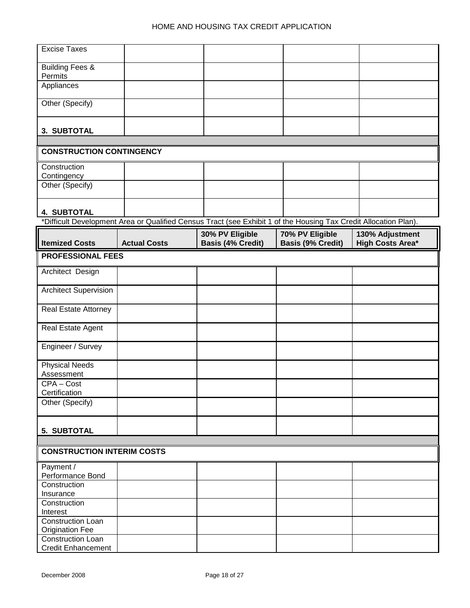| <b>Excise Taxes</b>                         |                     |                                                                                                                  |                          |                         |
|---------------------------------------------|---------------------|------------------------------------------------------------------------------------------------------------------|--------------------------|-------------------------|
|                                             |                     |                                                                                                                  |                          |                         |
| <b>Building Fees &amp;</b>                  |                     |                                                                                                                  |                          |                         |
| Permits                                     |                     |                                                                                                                  |                          |                         |
| Appliances                                  |                     |                                                                                                                  |                          |                         |
| Other (Specify)                             |                     |                                                                                                                  |                          |                         |
|                                             |                     |                                                                                                                  |                          |                         |
|                                             |                     |                                                                                                                  |                          |                         |
| 3. SUBTOTAL                                 |                     |                                                                                                                  |                          |                         |
| <b>CONSTRUCTION CONTINGENCY</b>             |                     |                                                                                                                  |                          |                         |
|                                             |                     |                                                                                                                  |                          |                         |
| Construction                                |                     |                                                                                                                  |                          |                         |
| Contingency                                 |                     |                                                                                                                  |                          |                         |
| Other (Specify)                             |                     |                                                                                                                  |                          |                         |
|                                             |                     |                                                                                                                  |                          |                         |
| <b>4. SUBTOTAL</b>                          |                     |                                                                                                                  |                          |                         |
|                                             |                     | *Difficult Development Area or Qualified Census Tract (see Exhibit 1 of the Housing Tax Credit Allocation Plan). |                          |                         |
|                                             |                     | 30% PV Eligible                                                                                                  | 70% PV Eligible          | 130% Adjustment         |
| <b>Itemized Costs</b>                       | <b>Actual Costs</b> | <b>Basis (4% Credit)</b>                                                                                         | <b>Basis (9% Credit)</b> | <b>High Costs Area*</b> |
| <b>PROFESSIONAL FEES</b>                    |                     |                                                                                                                  |                          |                         |
| Architect Design                            |                     |                                                                                                                  |                          |                         |
|                                             |                     |                                                                                                                  |                          |                         |
| <b>Architect Supervision</b>                |                     |                                                                                                                  |                          |                         |
| <b>Real Estate Attorney</b>                 |                     |                                                                                                                  |                          |                         |
|                                             |                     |                                                                                                                  |                          |                         |
| Real Estate Agent                           |                     |                                                                                                                  |                          |                         |
|                                             |                     |                                                                                                                  |                          |                         |
| Engineer / Survey                           |                     |                                                                                                                  |                          |                         |
| <b>Physical Needs</b>                       |                     |                                                                                                                  |                          |                         |
| Assessment                                  |                     |                                                                                                                  |                          |                         |
| CPA-Cost                                    |                     |                                                                                                                  |                          |                         |
| Certification                               |                     |                                                                                                                  |                          |                         |
| Other (Specify)                             |                     |                                                                                                                  |                          |                         |
|                                             |                     |                                                                                                                  |                          |                         |
| 5. SUBTOTAL                                 |                     |                                                                                                                  |                          |                         |
|                                             |                     |                                                                                                                  |                          |                         |
| <b>CONSTRUCTION INTERIM COSTS</b>           |                     |                                                                                                                  |                          |                         |
| Payment /                                   |                     |                                                                                                                  |                          |                         |
| Performance Bond                            |                     |                                                                                                                  |                          |                         |
| Construction                                |                     |                                                                                                                  |                          |                         |
| Insurance                                   |                     |                                                                                                                  |                          |                         |
| Construction                                |                     |                                                                                                                  |                          |                         |
| Interest                                    |                     |                                                                                                                  |                          |                         |
| Construction Loan<br><b>Origination Fee</b> |                     |                                                                                                                  |                          |                         |
| Construction Loan                           |                     |                                                                                                                  |                          |                         |
| <b>Credit Enhancement</b>                   |                     |                                                                                                                  |                          |                         |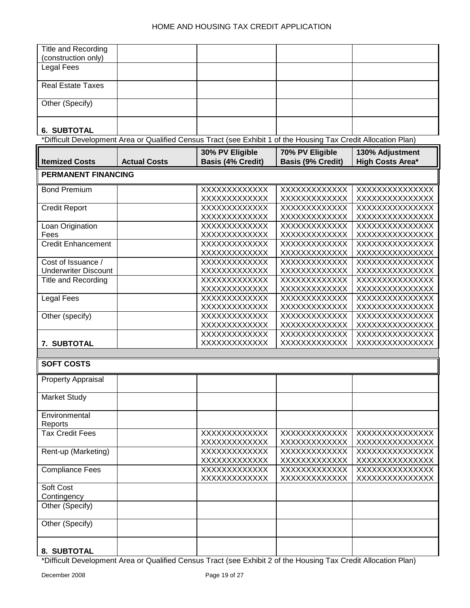| Title and Recording         |                                                                                                                 |                                      |                          |                         |
|-----------------------------|-----------------------------------------------------------------------------------------------------------------|--------------------------------------|--------------------------|-------------------------|
| (construction only)         |                                                                                                                 |                                      |                          |                         |
| <b>Legal Fees</b>           |                                                                                                                 |                                      |                          |                         |
| <b>Real Estate Taxes</b>    |                                                                                                                 |                                      |                          |                         |
|                             |                                                                                                                 |                                      |                          |                         |
| Other (Specify)             |                                                                                                                 |                                      |                          |                         |
| <b>6. SUBTOTAL</b>          |                                                                                                                 |                                      |                          |                         |
|                             | *Difficult Development Area or Qualified Census Tract (see Exhibit 1 of the Housing Tax Credit Allocation Plan) |                                      |                          |                         |
|                             |                                                                                                                 |                                      |                          |                         |
|                             |                                                                                                                 | 30% PV Eligible                      | 70% PV Eligible          | 130% Adjustment         |
| <b>Itemized Costs</b>       | <b>Actual Costs</b>                                                                                             | <b>Basis (4% Credit)</b>             | <b>Basis (9% Credit)</b> | <b>High Costs Area*</b> |
| <b>PERMANENT FINANCING</b>  |                                                                                                                 |                                      |                          |                         |
| <b>Bond Premium</b>         |                                                                                                                 | XXXXXXXXXXXX                         | XXXXXXXXXXXX             | XXXXXXXXXXXXXX          |
|                             |                                                                                                                 | XXXXXXXXXXXX                         | XXXXXXXXXXXX             | XXXXXXXXXXXXXX          |
| <b>Credit Report</b>        |                                                                                                                 | XXXXXXXXXXXXX                        | XXXXXXXXXXXX             | XXXXXXXXXXXXXX          |
|                             |                                                                                                                 | XXXXXXXXXXXX                         | XXXXXXXXXXXX             | XXXXXXXXXXXXXX          |
| Loan Origination            |                                                                                                                 | XXXXXXXXXXXXX                        | XXXXXXXXXXXX             | XXXXXXXXXXXXXX          |
|                             |                                                                                                                 |                                      |                          |                         |
| Fees                        |                                                                                                                 | XXXXXXXXXXXX<br><b>XXXXXXXXXXXXX</b> | XXXXXXXXXXXX             | XXXXXXXXXXXXXX          |
| <b>Credit Enhancement</b>   |                                                                                                                 |                                      | XXXXXXXXXXXX             | XXXXXXXXXXXXXX          |
|                             |                                                                                                                 | XXXXXXXXXXXX                         | XXXXXXXXXXXX             | XXXXXXXXXXXXXX          |
| Cost of Issuance /          |                                                                                                                 | XXXXXXXXXXXX                         | XXXXXXXXXXXX             | XXXXXXXXXXXXXX          |
| <b>Underwriter Discount</b> |                                                                                                                 | XXXXXXXXXXXX                         | XXXXXXXXXXXX             | XXXXXXXXXXXXXX          |
| <b>Title and Recording</b>  |                                                                                                                 | XXXXXXXXXXXX                         | XXXXXXXXXXXX             | XXXXXXXXXXXXXX          |
|                             |                                                                                                                 | XXXXXXXXXXXX                         | XXXXXXXXXXXX             | XXXXXXXXXXXXXX          |
| Legal Fees                  |                                                                                                                 | XXXXXXXXXXXXX                        | XXXXXXXXXXXX             | XXXXXXXXXXXXXXX         |
|                             |                                                                                                                 | XXXXXXXXXXXX                         | XXXXXXXXXXXX             | XXXXXXXXXXXXXX          |
| Other (specify)             |                                                                                                                 | XXXXXXXXXXXXX                        | XXXXXXXXXXXX             | XXXXXXXXXXXXXX          |
|                             |                                                                                                                 | XXXXXXXXXXXX                         | XXXXXXXXXXXX             | XXXXXXXXXXXXXX          |
|                             |                                                                                                                 | XXXXXXXXXXXX                         | XXXXXXXXXXXX             | XXXXXXXXXXXXXX          |
| 7. SUBTOTAL                 |                                                                                                                 | XXXXXXXXXXXX                         | XXXXXXXXXXXX             | XXXXXXXXXXXXXX          |
|                             |                                                                                                                 |                                      |                          |                         |
| <b>SOFT COSTS</b>           |                                                                                                                 |                                      |                          |                         |
| <b>Property Appraisal</b>   |                                                                                                                 |                                      |                          |                         |
|                             |                                                                                                                 |                                      |                          |                         |
| <b>Market Study</b>         |                                                                                                                 |                                      |                          |                         |
| Environmental               |                                                                                                                 |                                      |                          |                         |
| Reports                     |                                                                                                                 |                                      |                          |                         |
| <b>Tax Credit Fees</b>      |                                                                                                                 | XXXXXXXXXXXX                         | XXXXXXXXXXXX             | XXXXXXXXXXXXXXX         |
|                             |                                                                                                                 | XXXXXXXXXXXX                         | XXXXXXXXXXXX             | XXXXXXXXXXXXXX          |
| Rent-up (Marketing)         |                                                                                                                 | XXXXXXXXXXXX                         | <b>XXXXXXXXXXXXX</b>     | XXXXXXXXXXXXXX          |
|                             |                                                                                                                 | XXXXXXXXXXXX                         | XXXXXXXXXXXX             | XXXXXXXXXXXXXX          |
| <b>Compliance Fees</b>      |                                                                                                                 | XXXXXXXXXXXX                         | XXXXXXXXXXXX             | XXXXXXXXXXXXXX          |
|                             |                                                                                                                 | XXXXXXXXXXXX                         | XXXXXXXXXXXX             | XXXXXXXXXXXXXX          |
| Soft Cost                   |                                                                                                                 |                                      |                          |                         |
| Contingency                 |                                                                                                                 |                                      |                          |                         |
| Other (Specify)             |                                                                                                                 |                                      |                          |                         |
| Other (Specify)             |                                                                                                                 |                                      |                          |                         |
|                             |                                                                                                                 |                                      |                          |                         |
| 8. SUBTOTAL                 |                                                                                                                 |                                      |                          |                         |
|                             |                                                                                                                 |                                      |                          |                         |

### \*Difficult Development Area or Qualified Census Tract (see Exhibit 2 of the Housing Tax Credit Allocation Plan)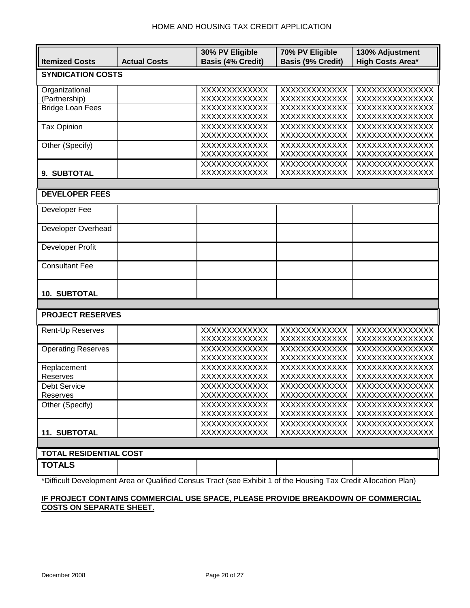|                               |                     | 30% PV Eligible               | 70% PV Eligible              | 130% Adjustment                  |
|-------------------------------|---------------------|-------------------------------|------------------------------|----------------------------------|
| <b>Itemized Costs</b>         | <b>Actual Costs</b> | <b>Basis (4% Credit)</b>      | <b>Basis (9% Credit)</b>     | <b>High Costs Area*</b>          |
| <b>SYNDICATION COSTS</b>      |                     |                               |                              |                                  |
|                               |                     |                               |                              |                                  |
| Organizational                |                     | XXXXXXXXXXXX                  | XXXXXXXXXXXXX                | XXXXXXXXXXXXXX                   |
| (Partnership)                 |                     | XXXXXXXXXXXXX                 | XXXXXXXXXXXX                 | XXXXXXXXXXXXXX                   |
| <b>Bridge Loan Fees</b>       |                     | XXXXXXXXXXXX                  | XXXXXXXXXXXX                 | XXXXXXXXXXXXXX                   |
|                               |                     | XXXXXXXXXXXX                  | XXXXXXXXXXXX                 | XXXXXXXXXXXXXX                   |
| <b>Tax Opinion</b>            |                     | XXXXXXXXXXXX                  | XXXXXXXXXXXX                 | XXXXXXXXXXXXXX                   |
|                               |                     | XXXXXXXXXXXX                  | XXXXXXXXXXXX                 | XXXXXXXXXXXXXX                   |
| Other (Specify)               |                     | XXXXXXXXXXXX<br>XXXXXXXXXXXXX | XXXXXXXXXXXX<br>XXXXXXXXXXXX | XXXXXXXXXXXXXX<br>XXXXXXXXXXXXXX |
|                               |                     | XXXXXXXXXXXX                  | XXXXXXXXXXXX                 | XXXXXXXXXXXXXX                   |
| 9. SUBTOTAL                   |                     | XXXXXXXXXXXX                  | XXXXXXXXXXXX                 | XXXXXXXXXXXXXX                   |
|                               |                     |                               |                              |                                  |
|                               |                     |                               |                              |                                  |
| <b>DEVELOPER FEES</b>         |                     |                               |                              |                                  |
| Developer Fee                 |                     |                               |                              |                                  |
|                               |                     |                               |                              |                                  |
| Developer Overhead            |                     |                               |                              |                                  |
|                               |                     |                               |                              |                                  |
| Developer Profit              |                     |                               |                              |                                  |
|                               |                     |                               |                              |                                  |
| <b>Consultant Fee</b>         |                     |                               |                              |                                  |
|                               |                     |                               |                              |                                  |
|                               |                     |                               |                              |                                  |
| <b>10. SUBTOTAL</b>           |                     |                               |                              |                                  |
|                               |                     |                               |                              |                                  |
| <b>PROJECT RESERVES</b>       |                     |                               |                              |                                  |
|                               |                     | XXXXXXXXXXXX                  | XXXXXXXXXXXXX                | XXXXXXXXXXXXXX                   |
| Rent-Up Reserves              |                     | XXXXXXXXXXXX                  | XXXXXXXXXXXX                 | XXXXXXXXXXXXXX                   |
| <b>Operating Reserves</b>     |                     | XXXXXXXXXXXX                  | XXXXXXXXXXXX                 | XXXXXXXXXXXXXX                   |
|                               |                     | XXXXXXXXXXXX                  | <b>XXXXXXXXXXXXX</b>         | XXXXXXXXXXXXXX                   |
| Replacement                   |                     | XXXXXXXXXXXX                  | XXXXXXXXXXXXX                | XXXXXXXXXXXXXX                   |
| Reserves                      |                     | XXXXXXXXXXXX                  | XXXXXXXXXXXX                 | XXXXXXXXXXXXXX                   |
| <b>Debt Service</b>           |                     | XXXXXXXXXXXX                  | XXXXXXXXXXXX                 | XXXXXXXXXXXXXX                   |
| Reserves                      |                     | XXXXXXXXXXXX                  | XXXXXXXXXXXX                 | XXXXXXXXXXXXXX                   |
| Other (Specify)               |                     | XXXXXXXXXXXX                  | XXXXXXXXXXXXX                | XXXXXXXXXXXXXX                   |
|                               |                     | XXXXXXXXXXXX                  | XXXXXXXXXXXX                 | XXXXXXXXXXXXXX                   |
|                               |                     | XXXXXXXXXXXX                  | XXXXXXXXXXXX                 | XXXXXXXXXXXXXX                   |
| <b>11. SUBTOTAL</b>           |                     | XXXXXXXXXXXX                  | XXXXXXXXXXXX                 | XXXXXXXXXXXXXX                   |
|                               |                     |                               |                              |                                  |
| <b>TOTAL RESIDENTIAL COST</b> |                     |                               |                              |                                  |
| <b>TOTALS</b>                 |                     |                               |                              |                                  |
|                               |                     |                               |                              |                                  |

\*Difficult Development Area or Qualified Census Tract (see Exhibit 1 of the Housing Tax Credit Allocation Plan)

# **IF PROJECT CONTAINS COMMERCIAL USE SPACE, PLEASE PROVIDE BREAKDOWN OF COMMERCIAL COSTS ON SEPARATE SHEET.**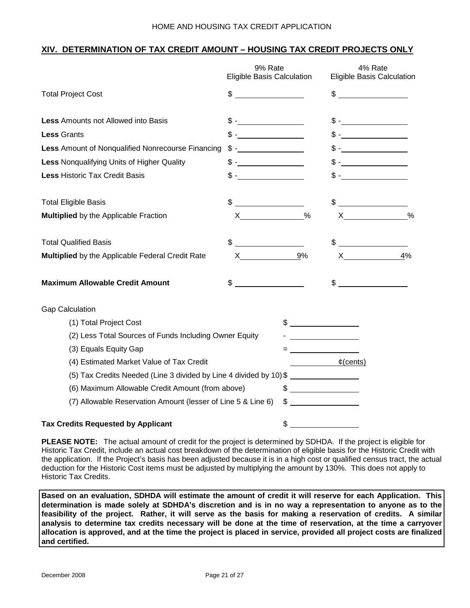### **XIV. DETERMINATION OF TAX CREDIT AMOUNT – HOUSING TAX CREDIT PROJECTS ONLY**

|                                                                    | 9% Rate<br>Eligible Basis Calculation                                                                                                                                                                                                                                                                                                                                                                                           |               | 4% Rate<br>Eligible Basis Calculation                                                                                                                                                                                                                                                                                                                                                                                             |               |
|--------------------------------------------------------------------|---------------------------------------------------------------------------------------------------------------------------------------------------------------------------------------------------------------------------------------------------------------------------------------------------------------------------------------------------------------------------------------------------------------------------------|---------------|-----------------------------------------------------------------------------------------------------------------------------------------------------------------------------------------------------------------------------------------------------------------------------------------------------------------------------------------------------------------------------------------------------------------------------------|---------------|
| <b>Total Project Cost</b>                                          | $\frac{1}{2}$ $\frac{1}{2}$ $\frac{1}{2}$ $\frac{1}{2}$ $\frac{1}{2}$ $\frac{1}{2}$ $\frac{1}{2}$ $\frac{1}{2}$ $\frac{1}{2}$ $\frac{1}{2}$ $\frac{1}{2}$ $\frac{1}{2}$ $\frac{1}{2}$ $\frac{1}{2}$ $\frac{1}{2}$ $\frac{1}{2}$ $\frac{1}{2}$ $\frac{1}{2}$ $\frac{1}{2}$ $\frac{1}{2}$ $\frac{1}{2}$ $\frac{1}{2}$                                                                                                             |               | $\frac{1}{2}$                                                                                                                                                                                                                                                                                                                                                                                                                     |               |
| <b>Less Amounts not Allowed into Basis</b>                         |                                                                                                                                                                                                                                                                                                                                                                                                                                 |               |                                                                                                                                                                                                                                                                                                                                                                                                                                   |               |
| <b>Less Grants</b>                                                 | $$ -$                                                                                                                                                                                                                                                                                                                                                                                                                           |               |                                                                                                                                                                                                                                                                                                                                                                                                                                   |               |
| Less Amount of Nonqualified Nonrecourse Financing                  |                                                                                                                                                                                                                                                                                                                                                                                                                                 |               |                                                                                                                                                                                                                                                                                                                                                                                                                                   |               |
| <b>Less Nonqualifying Units of Higher Quality</b>                  | $\frac{1}{\sqrt{1-\frac{1}{2}}}\frac{1}{\sqrt{1-\frac{1}{2}}}\frac{1}{\sqrt{1-\frac{1}{2}}}\frac{1}{\sqrt{1-\frac{1}{2}}}\frac{1}{\sqrt{1-\frac{1}{2}}}\frac{1}{\sqrt{1-\frac{1}{2}}}\frac{1}{\sqrt{1-\frac{1}{2}}}\frac{1}{\sqrt{1-\frac{1}{2}}}\frac{1}{\sqrt{1-\frac{1}{2}}}\frac{1}{\sqrt{1-\frac{1}{2}}}\frac{1}{\sqrt{1-\frac{1}{2}}}\frac{1}{\sqrt{1-\frac{1}{2}}}\frac{1}{\sqrt{1-\frac{1}{2}}}\frac{1}{\sqrt{1-\frac{$ |               |                                                                                                                                                                                                                                                                                                                                                                                                                                   |               |
| <b>Less Historic Tax Credit Basis</b>                              | $\mathbb{S}$ - $\blacksquare$                                                                                                                                                                                                                                                                                                                                                                                                   |               |                                                                                                                                                                                                                                                                                                                                                                                                                                   |               |
| <b>Total Eligible Basis</b>                                        | \$                                                                                                                                                                                                                                                                                                                                                                                                                              |               | \$                                                                                                                                                                                                                                                                                                                                                                                                                                |               |
| <b>Multiplied</b> by the Applicable Fraction                       |                                                                                                                                                                                                                                                                                                                                                                                                                                 | $\frac{0}{0}$ | $\boldsymbol{\mathsf{X}}$ and $\boldsymbol{\mathsf{X}}$ and $\boldsymbol{\mathsf{X}}$ and $\boldsymbol{\mathsf{X}}$ and $\boldsymbol{\mathsf{X}}$ and $\boldsymbol{\mathsf{X}}$ and $\boldsymbol{\mathsf{X}}$ and $\boldsymbol{\mathsf{X}}$ and $\boldsymbol{\mathsf{X}}$ and $\boldsymbol{\mathsf{X}}$ and $\boldsymbol{\mathsf{X}}$ and $\boldsymbol{\mathsf{X}}$ and $\boldsymbol{\mathsf{X}}$ and $\boldsymbol{\mathsf{X}}$ a | $\frac{0}{0}$ |
| <b>Total Qualified Basis</b>                                       |                                                                                                                                                                                                                                                                                                                                                                                                                                 |               | $\begin{picture}(20,10) \put(0,0){\line(1,0){10}} \put(15,0){\line(1,0){10}} \put(15,0){\line(1,0){10}} \put(15,0){\line(1,0){10}} \put(15,0){\line(1,0){10}} \put(15,0){\line(1,0){10}} \put(15,0){\line(1,0){10}} \put(15,0){\line(1,0){10}} \put(15,0){\line(1,0){10}} \put(15,0){\line(1,0){10}} \put(15,0){\line(1,0){10}} \put(15,0){\line(1$                                                                               |               |
| Multiplied by the Applicable Federal Credit Rate                   | $X \sim$                                                                                                                                                                                                                                                                                                                                                                                                                        | 9%            | $\boldsymbol{\mathsf{X}}$                                                                                                                                                                                                                                                                                                                                                                                                         | 4%            |
| <b>Maximum Allowable Credit Amount</b>                             | $\sim$                                                                                                                                                                                                                                                                                                                                                                                                                          |               | $\frac{1}{2}$                                                                                                                                                                                                                                                                                                                                                                                                                     |               |
| <b>Gap Calculation</b>                                             |                                                                                                                                                                                                                                                                                                                                                                                                                                 |               |                                                                                                                                                                                                                                                                                                                                                                                                                                   |               |
| (1) Total Project Cost                                             |                                                                                                                                                                                                                                                                                                                                                                                                                                 | $\frac{1}{2}$ |                                                                                                                                                                                                                                                                                                                                                                                                                                   |               |
| (2) Less Total Sources of Funds Including Owner Equity             |                                                                                                                                                                                                                                                                                                                                                                                                                                 |               | <u> 1989 - Jan Stein Stein Stein Stein Stein Stein Stein Stein Stein Stein Stein Stein Stein Stein Stein Stein S</u>                                                                                                                                                                                                                                                                                                              |               |
| (3) Equals Equity Gap                                              |                                                                                                                                                                                                                                                                                                                                                                                                                                 |               |                                                                                                                                                                                                                                                                                                                                                                                                                                   |               |
| (4) Estimated Market Value of Tax Credit                           |                                                                                                                                                                                                                                                                                                                                                                                                                                 |               | $\mathfrak{c}(\text{cents})$                                                                                                                                                                                                                                                                                                                                                                                                      |               |
| (5) Tax Credits Needed (Line 3 divided by Line 4 divided by 10) \$ |                                                                                                                                                                                                                                                                                                                                                                                                                                 |               |                                                                                                                                                                                                                                                                                                                                                                                                                                   |               |
| (6) Maximum Allowable Credit Amount (from above)                   |                                                                                                                                                                                                                                                                                                                                                                                                                                 | $\frac{1}{2}$ |                                                                                                                                                                                                                                                                                                                                                                                                                                   |               |
| (7) Allowable Reservation Amount (lesser of Line 5 & Line 6)       |                                                                                                                                                                                                                                                                                                                                                                                                                                 | $\frac{1}{2}$ |                                                                                                                                                                                                                                                                                                                                                                                                                                   |               |
| <b>Tax Credits Requested by Applicant</b>                          |                                                                                                                                                                                                                                                                                                                                                                                                                                 | \$            |                                                                                                                                                                                                                                                                                                                                                                                                                                   |               |

**PLEASE NOTE:** The actual amount of credit for the project is determined by SDHDA. If the project is eligible for Historic Tax Credit, include an actual cost breakdown of the determination of eligible basis for the Historic Credit with the application. If the Project's basis has been adjusted because it is in a high cost or qualified census tract, the actual deduction for the Historic Cost items must be adjusted by multiplying the amount by 130%. This does not apply to Historic Tax Credits.

**Based on an evaluation, SDHDA will estimate the amount of credit it will reserve for each Application. This determination is made solely at SDHDA's discretion and is in no way a representation to anyone as to the feasibility of the project. Rather, it will serve as the basis for making a reservation of credits. A similar analysis to determine tax credits necessary will be done at the time of reservation, at the time a carryover allocation is approved, and at the time the project is placed in service, provided all project costs are finalized and certified.**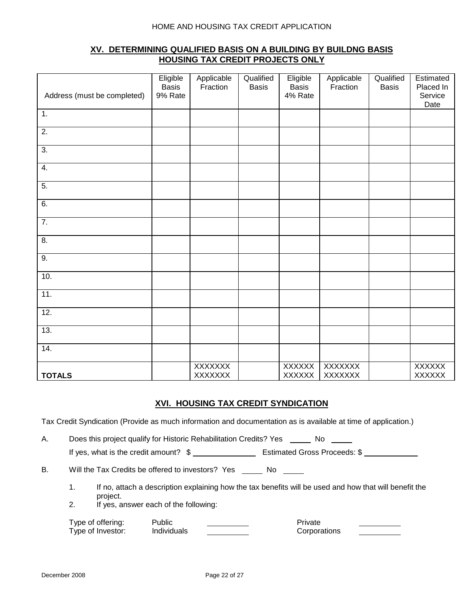## **XV. DETERMINING QUALIFIED BASIS ON A BUILDING BY BUILDNG BASIS HOUSING TAX CREDIT PROJECTS ONLY**

| Address (must be completed) | Eligible<br><b>Basis</b><br>9% Rate | Applicable<br>Fraction           | Qualified<br><b>Basis</b> | Eligible<br><b>Basis</b><br>4% Rate | Applicable<br>Fraction    | Qualified<br><b>Basis</b> | Estimated<br>Placed In<br>Service<br>Date |
|-----------------------------|-------------------------------------|----------------------------------|---------------------------|-------------------------------------|---------------------------|---------------------------|-------------------------------------------|
| 1.                          |                                     |                                  |                           |                                     |                           |                           |                                           |
| $\overline{2}$ .            |                                     |                                  |                           |                                     |                           |                           |                                           |
| $\overline{3}$ .            |                                     |                                  |                           |                                     |                           |                           |                                           |
| 4.                          |                                     |                                  |                           |                                     |                           |                           |                                           |
| $\overline{5}$ .            |                                     |                                  |                           |                                     |                           |                           |                                           |
| 6.                          |                                     |                                  |                           |                                     |                           |                           |                                           |
| $\overline{7}$ .            |                                     |                                  |                           |                                     |                           |                           |                                           |
| $\overline{8}$ .            |                                     |                                  |                           |                                     |                           |                           |                                           |
| 9.                          |                                     |                                  |                           |                                     |                           |                           |                                           |
| 10.                         |                                     |                                  |                           |                                     |                           |                           |                                           |
| 11.                         |                                     |                                  |                           |                                     |                           |                           |                                           |
| 12.                         |                                     |                                  |                           |                                     |                           |                           |                                           |
| 13.                         |                                     |                                  |                           |                                     |                           |                           |                                           |
| 14.                         |                                     |                                  |                           |                                     |                           |                           |                                           |
| <b>TOTALS</b>               |                                     | <b>XXXXXXX</b><br><b>XXXXXXX</b> |                           | <b>XXXXXX</b><br><b>XXXXXX</b>      | XXXXXXX<br><b>XXXXXXX</b> |                           | <b>XXXXXX</b><br><b>XXXXXX</b>            |

## **XVI. HOUSING TAX CREDIT SYNDICATION**

Tax Credit Syndication (Provide as much information and documentation as is available at time of application.)

A. Does this project qualify for Historic Rehabilitation Credits? Yes \_\_\_\_\_ No \_\_\_\_ If yes, what is the credit amount?  $\frac{1}{2}$  Estimated Gross Proceeds: \$

B. Will the Tax Credits be offered to investors? Yes No

- 1. If no, attach a description explaining how the tax benefits will be used and how that will benefit the project.
- 2. If yes, answer each of the following:

| Type of offering: | Public             | Private      |  |
|-------------------|--------------------|--------------|--|
| Type of Investor: | <b>Individuals</b> | Corporations |  |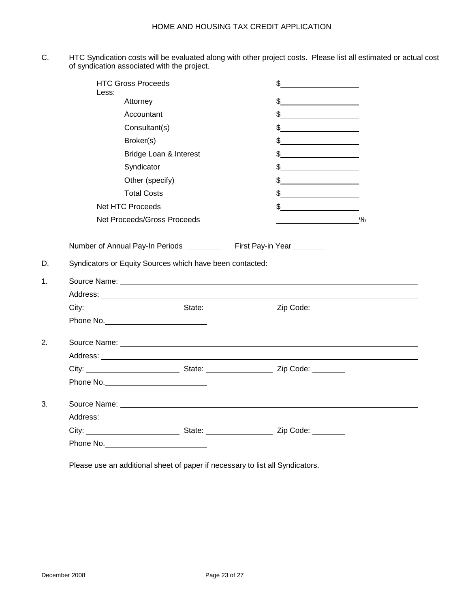C. HTC Syndication costs will be evaluated along with other project costs. Please list all estimated or actual cost of syndication associated with the project.

|          | <b>HTC Gross Proceeds</b><br>Less:                                    |                        | $\frac{1}{2}$                                                                                                                                                                                                                        |   |
|----------|-----------------------------------------------------------------------|------------------------|--------------------------------------------------------------------------------------------------------------------------------------------------------------------------------------------------------------------------------------|---|
|          | Attorney                                                              |                        | $\frac{1}{2}$                                                                                                                                                                                                                        |   |
|          | Accountant                                                            |                        | $\frac{1}{2}$                                                                                                                                                                                                                        |   |
|          | Consultant(s)                                                         |                        |                                                                                                                                                                                                                                      |   |
|          | Broker(s)                                                             |                        | $\frac{1}{2}$                                                                                                                                                                                                                        |   |
|          |                                                                       | Bridge Loan & Interest |                                                                                                                                                                                                                                      |   |
|          | Syndicator                                                            |                        | $\frac{1}{2}$                                                                                                                                                                                                                        |   |
|          | Other (specify)                                                       |                        |                                                                                                                                                                                                                                      |   |
|          | <b>Total Costs</b>                                                    |                        | $\frac{1}{2}$                                                                                                                                                                                                                        |   |
|          | <b>Net HTC Proceeds</b>                                               |                        | $\frac{1}{2}$                                                                                                                                                                                                                        |   |
|          | Net Proceeds/Gross Proceeds                                           |                        |                                                                                                                                                                                                                                      | % |
|          | Number of Annual Pay-In Periods ___________ First Pay-in Year _______ |                        |                                                                                                                                                                                                                                      |   |
| D.<br>1. | Syndicators or Equity Sources which have been contacted:              |                        |                                                                                                                                                                                                                                      |   |
|          |                                                                       |                        |                                                                                                                                                                                                                                      |   |
|          |                                                                       |                        |                                                                                                                                                                                                                                      |   |
| 2.       |                                                                       |                        |                                                                                                                                                                                                                                      |   |
|          |                                                                       |                        | Source Name: <u>experience</u> and the second second second second second second second second second second second second second second second second second second second second second second second second second second second  |   |
|          |                                                                       |                        |                                                                                                                                                                                                                                      |   |
|          |                                                                       |                        |                                                                                                                                                                                                                                      |   |
| 3.       |                                                                       |                        |                                                                                                                                                                                                                                      |   |
|          |                                                                       |                        | Source Name: <u>example and a series of the series of the series of the series of the series of the series of the series of the series of the series of the series of the series of the series of the series of the series of th</u> |   |
|          |                                                                       |                        | City: City: City: City: City: City: City: City: City: City: Code: City: City: Code: City: City: City: City: City: City: City: City: City: City: City: City: City: City: City: City: City: City: City: City: City: City: City:        |   |

Please use an additional sheet of paper if necessary to list all Syndicators.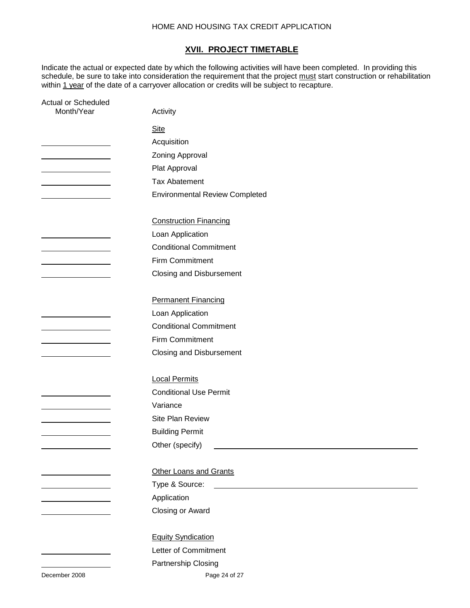#### **XVII. PROJECT TIMETABLE**

Indicate the actual or expected date by which the following activities will have been completed. In providing this schedule, be sure to take into consideration the requirement that the project must start construction or rehabilitation within 1 year of the date of a carryover allocation or credits will be subject to recapture.

| <b>Actual or Scheduled</b>                       |                                                                    |
|--------------------------------------------------|--------------------------------------------------------------------|
| Month/Year                                       | Activity                                                           |
|                                                  | <b>Site</b>                                                        |
|                                                  | Acquisition                                                        |
|                                                  | Zoning Approval                                                    |
| <u> 1989 - Johann Barbara, martin a</u>          | Plat Approval                                                      |
| <u> 1980 - Johann Barbara, martin di</u>         | <b>Tax Abatement</b>                                               |
|                                                  | <b>Environmental Review Completed</b>                              |
|                                                  |                                                                    |
|                                                  | <b>Construction Financing</b>                                      |
|                                                  | Loan Application                                                   |
|                                                  | <b>Conditional Commitment</b>                                      |
| <u> 1989 - Johann Barbara, martin a</u>          | Firm Commitment                                                    |
|                                                  | <b>Closing and Disbursement</b>                                    |
|                                                  |                                                                    |
|                                                  | <b>Permanent Financing</b>                                         |
|                                                  | Loan Application                                                   |
|                                                  | <b>Conditional Commitment</b>                                      |
| and the control of the control of the control of | Firm Commitment                                                    |
|                                                  | <b>Closing and Disbursement</b>                                    |
|                                                  |                                                                    |
|                                                  | <b>Local Permits</b>                                               |
|                                                  | <b>Conditional Use Permit</b>                                      |
|                                                  | Variance                                                           |
|                                                  | Site Plan Review                                                   |
|                                                  | <b>Building Permit</b>                                             |
|                                                  | Other (specify)<br><u> 1989 - Andrea Station Barbara (b. 1989)</u> |
|                                                  |                                                                    |
|                                                  | <b>Other Loans and Grants</b>                                      |
| and the control of the control of the control of | Type & Source:                                                     |
|                                                  | Application                                                        |
|                                                  | Closing or Award                                                   |
|                                                  |                                                                    |
|                                                  | <b>Equity Syndication</b>                                          |
|                                                  | Letter of Commitment                                               |
|                                                  | Partnership Closing                                                |

December 2008 Page 24 of 27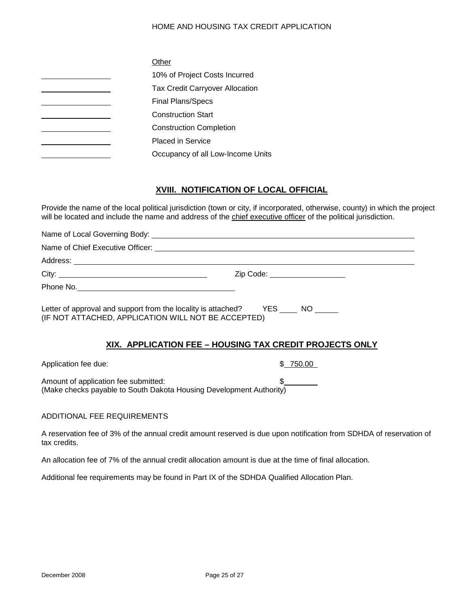| Other                                  |
|----------------------------------------|
| 10% of Project Costs Incurred          |
| <b>Tax Credit Carryover Allocation</b> |
| <b>Final Plans/Specs</b>               |
| <b>Construction Start</b>              |
| <b>Construction Completion</b>         |
| <b>Placed in Service</b>               |
| Occupancy of all Low-Income Units      |

# **XVIII. NOTIFICATION OF LOCAL OFFICIAL**

Provide the name of the local political jurisdiction (town or city, if incorporated, otherwise, county) in which the project will be located and include the name and address of the chief executive officer of the political jurisdiction.

|                                                                                                                                        | Zip Code: ___________________                           |
|----------------------------------------------------------------------------------------------------------------------------------------|---------------------------------------------------------|
|                                                                                                                                        |                                                         |
| Letter of approval and support from the locality is attached? YES ____ NO _____<br>(IF NOT ATTACHED, APPLICATION WILL NOT BE ACCEPTED) |                                                         |
|                                                                                                                                        | XIX. APPLICATION FEE - HOUSING TAX CREDIT PROJECTS ONLY |
| Application fee due:                                                                                                                   | \$750.00                                                |
| Amount of application fee submitted:<br>(Make checks payable to South Dakota Housing Development Authority)                            | $\frac{1}{2}$                                           |

## ADDITIONAL FEE REQUIREMENTS

A reservation fee of 3% of the annual credit amount reserved is due upon notification from SDHDA of reservation of tax credits.

An allocation fee of 7% of the annual credit allocation amount is due at the time of final allocation.

Additional fee requirements may be found in Part IX of the SDHDA Qualified Allocation Plan.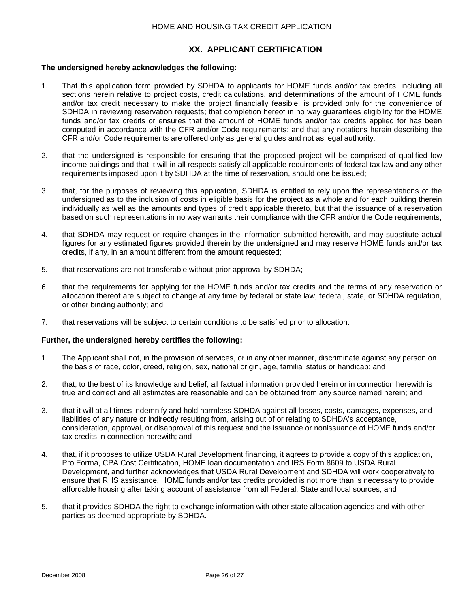### **XX. APPLICANT CERTIFICATION**

#### **The undersigned hereby acknowledges the following:**

- 1. That this application form provided by SDHDA to applicants for HOME funds and/or tax credits, including all sections herein relative to project costs, credit calculations, and determinations of the amount of HOME funds and/or tax credit necessary to make the project financially feasible, is provided only for the convenience of SDHDA in reviewing reservation requests; that completion hereof in no way guarantees eligibility for the HOME funds and/or tax credits or ensures that the amount of HOME funds and/or tax credits applied for has been computed in accordance with the CFR and/or Code requirements; and that any notations herein describing the CFR and/or Code requirements are offered only as general guides and not as legal authority;
- 2. that the undersigned is responsible for ensuring that the proposed project will be comprised of qualified low income buildings and that it will in all respects satisfy all applicable requirements of federal tax law and any other requirements imposed upon it by SDHDA at the time of reservation, should one be issued;
- 3. that, for the purposes of reviewing this application, SDHDA is entitled to rely upon the representations of the undersigned as to the inclusion of costs in eligible basis for the project as a whole and for each building therein individually as well as the amounts and types of credit applicable thereto, but that the issuance of a reservation based on such representations in no way warrants their compliance with the CFR and/or the Code requirements;
- 4. that SDHDA may request or require changes in the information submitted herewith, and may substitute actual figures for any estimated figures provided therein by the undersigned and may reserve HOME funds and/or tax credits, if any, in an amount different from the amount requested;
- 5. that reservations are not transferable without prior approval by SDHDA;
- 6. that the requirements for applying for the HOME funds and/or tax credits and the terms of any reservation or allocation thereof are subject to change at any time by federal or state law, federal, state, or SDHDA regulation, or other binding authority; and
- 7. that reservations will be subject to certain conditions to be satisfied prior to allocation.

#### **Further, the undersigned hereby certifies the following:**

- 1. The Applicant shall not, in the provision of services, or in any other manner, discriminate against any person on the basis of race, color, creed, religion, sex, national origin, age, familial status or handicap; and
- 2. that, to the best of its knowledge and belief, all factual information provided herein or in connection herewith is true and correct and all estimates are reasonable and can be obtained from any source named herein; and
- 3. that it will at all times indemnify and hold harmless SDHDA against all losses, costs, damages, expenses, and liabilities of any nature or indirectly resulting from, arising out of or relating to SDHDA's acceptance, consideration, approval, or disapproval of this request and the issuance or nonissuance of HOME funds and/or tax credits in connection herewith; and
- 4. that, if it proposes to utilize USDA Rural Development financing, it agrees to provide a copy of this application, Pro Forma, CPA Cost Certification, HOME loan documentation and IRS Form 8609 to USDA Rural Development, and further acknowledges that USDA Rural Development and SDHDA will work cooperatively to ensure that RHS assistance, HOME funds and/or tax credits provided is not more than is necessary to provide affordable housing after taking account of assistance from all Federal, State and local sources; and
- 5. that it provides SDHDA the right to exchange information with other state allocation agencies and with other parties as deemed appropriate by SDHDA.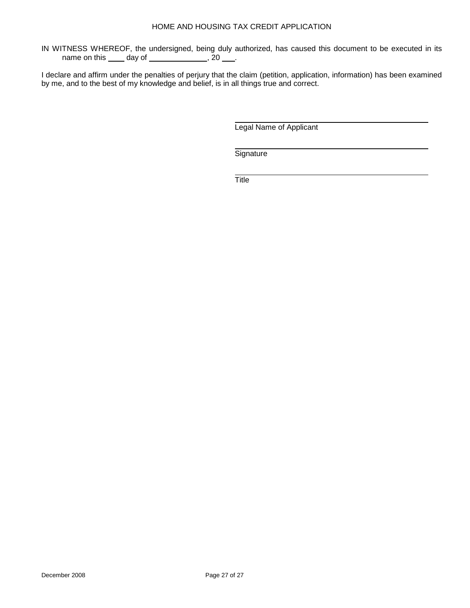IN WITNESS WHEREOF, the undersigned, being duly authorized, has caused this document to be executed in its name on this \_\_\_\_ day of \_\_\_\_\_\_\_\_\_\_\_\_\_\_, 20 \_\_\_.

I declare and affirm under the penalties of perjury that the claim (petition, application, information) has been examined by me, and to the best of my knowledge and belief, is in all things true and correct.

Legal Name of Applicant

**Signature** 

**Title**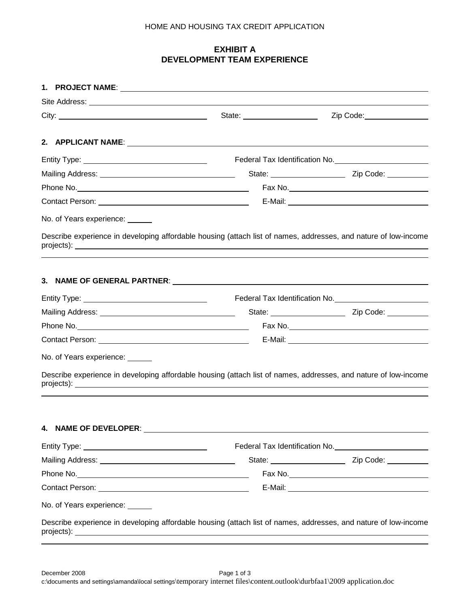# **EXHIBIT A DEVELOPMENT TEAM EXPERIENCE**

|                                    | State: _______________________                                                                                  | Zip Code: _________________                          |
|------------------------------------|-----------------------------------------------------------------------------------------------------------------|------------------------------------------------------|
|                                    |                                                                                                                 |                                                      |
|                                    |                                                                                                                 | Federal Tax Identification No. <u>Communications</u> |
|                                    |                                                                                                                 | State: <u>Cambridge Zip Code:</u>                    |
|                                    |                                                                                                                 |                                                      |
|                                    |                                                                                                                 |                                                      |
| No. of Years experience: ______    |                                                                                                                 |                                                      |
|                                    | Describe experience in developing affordable housing (attach list of names, addresses, and nature of low-income |                                                      |
|                                    |                                                                                                                 |                                                      |
|                                    |                                                                                                                 | Federal Tax Identification No.                       |
|                                    |                                                                                                                 |                                                      |
|                                    |                                                                                                                 |                                                      |
|                                    |                                                                                                                 |                                                      |
| No. of Years experience: ______    |                                                                                                                 |                                                      |
|                                    | Describe experience in developing affordable housing (attach list of names, addresses, and nature of low-income |                                                      |
| 4. NAME OF DEVELOPER:              |                                                                                                                 |                                                      |
|                                    |                                                                                                                 | Federal Tax Identification No. 1997 100 100          |
|                                    |                                                                                                                 |                                                      |
|                                    |                                                                                                                 |                                                      |
|                                    |                                                                                                                 |                                                      |
| No. of Years experience: Vermitted |                                                                                                                 |                                                      |
|                                    | Describe experience in developing affordable housing (attach list of names, addresses, and nature of low-income |                                                      |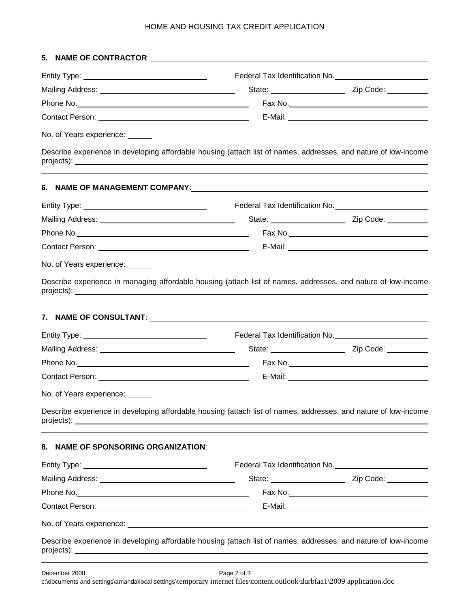| No. of Years experience: _____ |                                                                                                                                                                                                                                      |                                                                                                                         |
|--------------------------------|--------------------------------------------------------------------------------------------------------------------------------------------------------------------------------------------------------------------------------------|-------------------------------------------------------------------------------------------------------------------------|
|                                | Describe experience in developing affordable housing (attach list of names, addresses, and nature of low-income                                                                                                                      |                                                                                                                         |
|                                | 6. NAME OF MANAGEMENT COMPANY: And the contract of the contract of the contract of the contract of the contract of the contract of the contract of the contract of the contract of the contract of the contract of the contrac       |                                                                                                                         |
|                                |                                                                                                                                                                                                                                      |                                                                                                                         |
|                                |                                                                                                                                                                                                                                      |                                                                                                                         |
|                                |                                                                                                                                                                                                                                      |                                                                                                                         |
|                                |                                                                                                                                                                                                                                      |                                                                                                                         |
| No. of Years experience: _____ |                                                                                                                                                                                                                                      |                                                                                                                         |
|                                | Describe experience in managing affordable housing (attach list of names, addresses, and nature of low-income                                                                                                                        |                                                                                                                         |
|                                |                                                                                                                                                                                                                                      |                                                                                                                         |
|                                |                                                                                                                                                                                                                                      |                                                                                                                         |
|                                |                                                                                                                                                                                                                                      |                                                                                                                         |
|                                |                                                                                                                                                                                                                                      |                                                                                                                         |
|                                |                                                                                                                                                                                                                                      |                                                                                                                         |
| No. of Years experience: _     |                                                                                                                                                                                                                                      |                                                                                                                         |
|                                | Describe experience in developing affordable housing (attach list of names, addresses, and nature of low-income                                                                                                                      |                                                                                                                         |
|                                |                                                                                                                                                                                                                                      |                                                                                                                         |
|                                |                                                                                                                                                                                                                                      |                                                                                                                         |
|                                |                                                                                                                                                                                                                                      | State: <u>Cambridge City Code:</u> Cip Code: Cambridge City Code: Cambridge City Code: Cambridge City Code: Cambridge C |
|                                |                                                                                                                                                                                                                                      |                                                                                                                         |
|                                |                                                                                                                                                                                                                                      |                                                                                                                         |
|                                | No. of Years experience: <u>example and the set of the set of the set of the set of the set of the set of the set of the set of the set of the set of the set of the set of the set of the set of the set of the set of the set </u> |                                                                                                                         |
|                                | Describe experience in developing affordable housing (attach list of names, addresses, and nature of low-income                                                                                                                      |                                                                                                                         |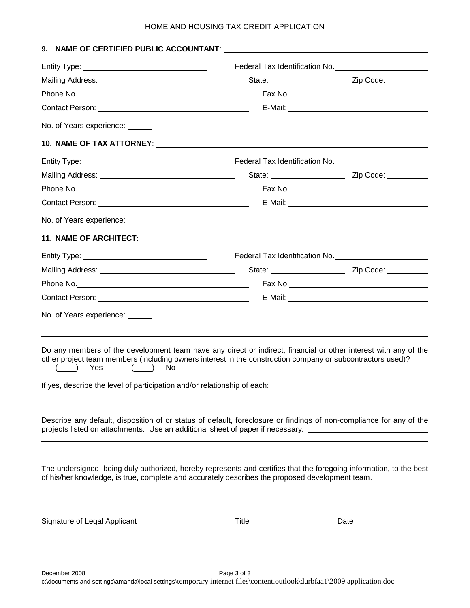|                                                                                |                                                                                                                                                                                                                               | Federal Tax Identification No. 1997 1997                          |
|--------------------------------------------------------------------------------|-------------------------------------------------------------------------------------------------------------------------------------------------------------------------------------------------------------------------------|-------------------------------------------------------------------|
|                                                                                |                                                                                                                                                                                                                               |                                                                   |
|                                                                                |                                                                                                                                                                                                                               |                                                                   |
|                                                                                |                                                                                                                                                                                                                               |                                                                   |
| No. of Years experience: ______                                                |                                                                                                                                                                                                                               |                                                                   |
|                                                                                |                                                                                                                                                                                                                               |                                                                   |
|                                                                                |                                                                                                                                                                                                                               |                                                                   |
|                                                                                |                                                                                                                                                                                                                               | State: <u>Cambridge City Code:</u> Zip Code: Cambridge City Code: |
|                                                                                |                                                                                                                                                                                                                               |                                                                   |
|                                                                                |                                                                                                                                                                                                                               |                                                                   |
| No. of Years experience: ______                                                |                                                                                                                                                                                                                               |                                                                   |
|                                                                                |                                                                                                                                                                                                                               |                                                                   |
|                                                                                |                                                                                                                                                                                                                               |                                                                   |
|                                                                                |                                                                                                                                                                                                                               |                                                                   |
|                                                                                |                                                                                                                                                                                                                               |                                                                   |
|                                                                                |                                                                                                                                                                                                                               |                                                                   |
| No. of Years experience: ______                                                |                                                                                                                                                                                                                               |                                                                   |
|                                                                                |                                                                                                                                                                                                                               |                                                                   |
| ( ) Yes<br>No.<br>(                                                            | Do any members of the development team have any direct or indirect, financial or other interest with any of the<br>other project team members (including owners interest in the construction company or subcontractors used)? |                                                                   |
|                                                                                | If yes, describe the level of participation and/or relationship of each: ________                                                                                                                                             |                                                                   |
| projects listed on attachments. Use an additional sheet of paper if necessary. | Describe any default, disposition of or status of default, foreclosure or findings of non-compliance for any of the                                                                                                           |                                                                   |
|                                                                                |                                                                                                                                                                                                                               |                                                                   |

Signature of Legal Applicant Title Title Date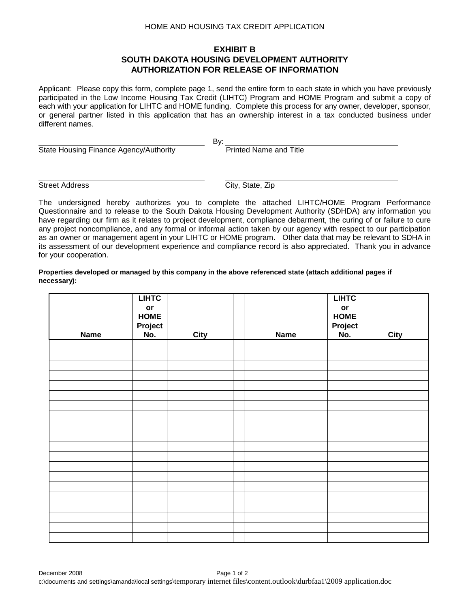## **EXHIBIT B SOUTH DAKOTA HOUSING DEVELOPMENT AUTHORITY AUTHORIZATION FOR RELEASE OF INFORMATION**

Applicant: Please copy this form, complete page 1, send the entire form to each state in which you have previously participated in the Low Income Housing Tax Credit (LIHTC) Program and HOME Program and submit a copy of each with your application for LIHTC and HOME funding. Complete this process for any owner, developer, sponsor, or general partner listed in this application that has an ownership interest in a tax conducted business under different names.

By:

State Housing Finance Agency/Authority **Printed Name and Title** 

**Street Address** City, State, Zip

The undersigned hereby authorizes you to complete the attached LIHTC/HOME Program Performance Questionnaire and to release to the South Dakota Housing Development Authority (SDHDA) any information you have regarding our firm as it relates to project development, compliance debarment, the curing of or failure to cure any project noncompliance, and any formal or informal action taken by our agency with respect to our participation as an owner or management agent in your LIHTC or HOME program. Other data that may be relevant to SDHA in its assessment of our development experience and compliance record is also appreciated. Thank you in advance for your cooperation.

#### **Properties developed or managed by this company in the above referenced state (attach additional pages if necessary):**

|             | <b>LIHTC</b><br>or<br><b>HOME</b> |             |             | <b>LIHTC</b><br>$\mathop{\sf or}\nolimits$<br><b>HOME</b> |             |
|-------------|-----------------------------------|-------------|-------------|-----------------------------------------------------------|-------------|
|             | Project                           |             |             | Project                                                   |             |
| <b>Name</b> | No.                               | <b>City</b> | <b>Name</b> | No.                                                       | <b>City</b> |
|             |                                   |             |             |                                                           |             |
|             |                                   |             |             |                                                           |             |
|             |                                   |             |             |                                                           |             |
|             |                                   |             |             |                                                           |             |
|             |                                   |             |             |                                                           |             |
|             |                                   |             |             |                                                           |             |
|             |                                   |             |             |                                                           |             |
|             |                                   |             |             |                                                           |             |
|             |                                   |             |             |                                                           |             |
|             |                                   |             |             |                                                           |             |
|             |                                   |             |             |                                                           |             |
|             |                                   |             |             |                                                           |             |
|             |                                   |             |             |                                                           |             |
|             |                                   |             |             |                                                           |             |
|             |                                   |             |             |                                                           |             |
|             |                                   |             |             |                                                           |             |
|             |                                   |             |             |                                                           |             |
|             |                                   |             |             |                                                           |             |
|             |                                   |             |             |                                                           |             |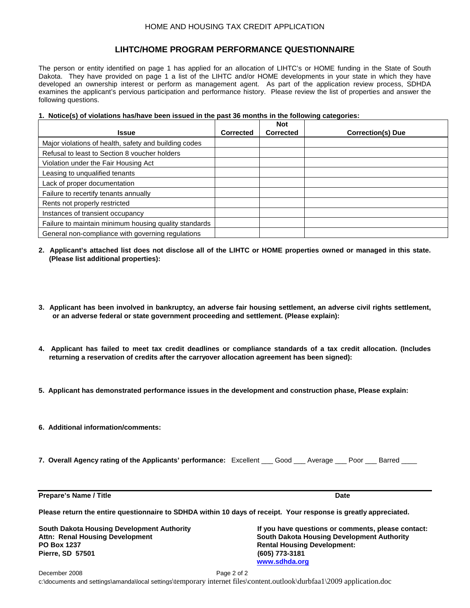## **LIHTC/HOME PROGRAM PERFORMANCE QUESTIONNAIRE**

The person or entity identified on page 1 has applied for an allocation of LIHTC's or HOME funding in the State of South Dakota. They have provided on page 1 a list of the LIHTC and/or HOME developments in your state in which they have developed an ownership interest or perform as management agent. As part of the application review process, SDHDA examines the applicant's pervious participation and performance history. Please review the list of properties and answer the following questions.

#### **1. Notice(s) of violations has/have been issued in the past 36 months in the following categories:**

|                                                       |                  | <b>Not</b>       |                          |
|-------------------------------------------------------|------------------|------------------|--------------------------|
| <b>Issue</b>                                          | <b>Corrected</b> | <b>Corrected</b> | <b>Correction(s) Due</b> |
| Major violations of health, safety and building codes |                  |                  |                          |
| Refusal to least to Section 8 youcher holders         |                  |                  |                          |
| Violation under the Fair Housing Act                  |                  |                  |                          |
| Leasing to unqualified tenants                        |                  |                  |                          |
| Lack of proper documentation                          |                  |                  |                          |
| Failure to recertify tenants annually                 |                  |                  |                          |
| Rents not properly restricted                         |                  |                  |                          |
| Instances of transient occupancy                      |                  |                  |                          |
| Failure to maintain minimum housing quality standards |                  |                  |                          |
| General non-compliance with governing regulations     |                  |                  |                          |

- **2. Applicant's attached list does not disclose all of the LIHTC or HOME properties owned or managed in this state. (Please list additional properties):**
- **3. Applicant has been involved in bankruptcy, an adverse fair housing settlement, an adverse civil rights settlement, or an adverse federal or state government proceeding and settlement. (Please explain):**
- **4. Applicant has failed to meet tax credit deadlines or compliance standards of a tax credit allocation. (Includes returning a reservation of credits after the carryover allocation agreement has been signed):**
- **5. Applicant has demonstrated performance issues in the development and construction phase, Please explain:**
- **6. Additional information/comments:**
- **7. Overall Agency rating of the Applicants' performance:** Excellent \_\_\_ Good \_\_\_ Average \_\_\_ Poor \_\_\_ Barred \_\_\_\_

**Prepare's Name / Title Date** Date **Date** Date **Date** Date **Date** Date **Date** Date **Date** 

**Please return the entire questionnaire to SDHDA within 10 days of receipt. Your response is greatly appreciated.**

**PO Box 1237 Rental Housing Development: Pierre, SD 57501** 

**South Dakota Housing Development Authority If you have questions or comments, please contact: Attn: Renal Housing Development South Dakota Housing Development Authority [www.sdhda.org](http://www.sdhda.org/)**

December 2008 Page 2 of 2 c:\documents and settings\amanda\local settings\temporary internet files\content.outlook\durbfaa1\2009 application.doc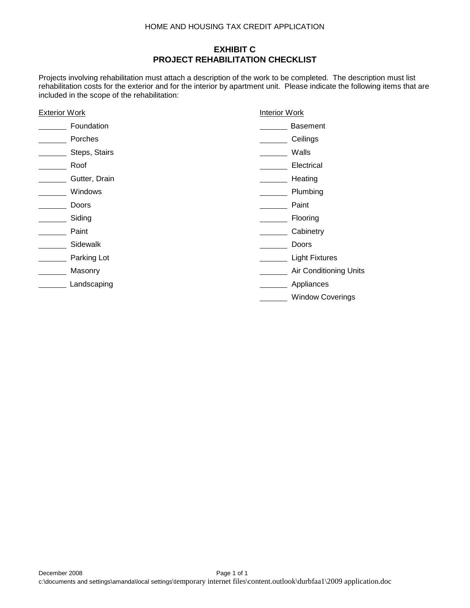# **EXHIBIT C PROJECT REHABILITATION CHECKLIST**

Projects involving rehabilitation must attach a description of the work to be completed. The description must list rehabilitation costs for the exterior and for the interior by apartment unit. Please indicate the following items that are included in the scope of the rehabilitation:

| <b>Exterior Work</b> | <b>Interior Work</b>    |  |
|----------------------|-------------------------|--|
| Foundation           | Basement                |  |
| Porches              | Ceilings                |  |
| Steps, Stairs        | Walls                   |  |
| Roof                 | Electrical              |  |
| Gutter, Drain        | Heating                 |  |
| Windows              | Plumbing                |  |
| Doors                | Paint                   |  |
| Siding               | Flooring                |  |
| Paint                | Cabinetry               |  |
| Sidewalk             | Doors                   |  |
| Parking Lot          | <b>Light Fixtures</b>   |  |
| Masonry              | Air Conditioning Units  |  |
| Landscaping          | Appliances              |  |
|                      | <b>Window Coverings</b> |  |